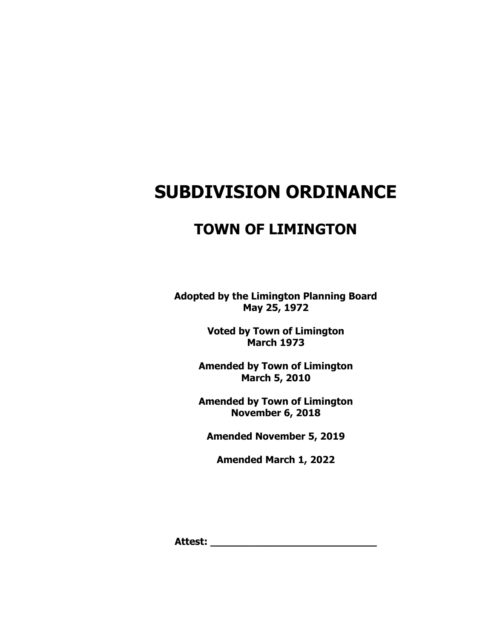# **SUBDIVISION ORDINANCE**

# **TOWN OF LIMINGTON**

**Adopted by the Limington Planning Board May 25, 1972**

> **Voted by Town of Limington March 1973**

**Amended by Town of Limington March 5, 2010**

**Amended by Town of Limington November 6, 2018**

**Amended November 5, 2019**

**Amended March 1, 2022**

**Attest: \_\_\_\_\_\_\_\_\_\_\_\_\_\_\_\_\_\_\_\_\_\_\_\_\_\_\_**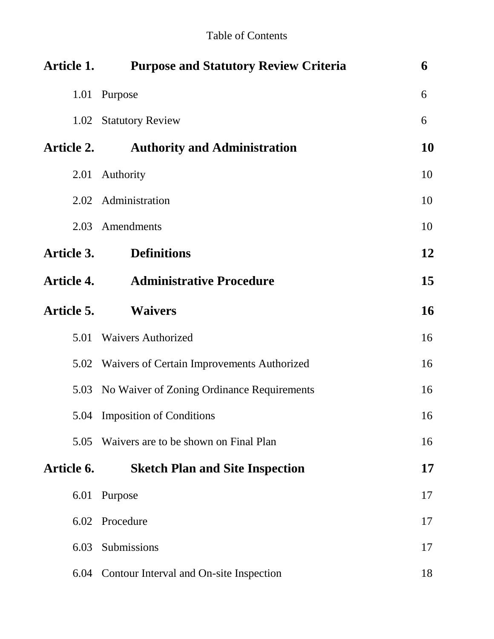| <b>Article 1.</b> | <b>Purpose and Statutory Review Criteria</b>    | 6         |
|-------------------|-------------------------------------------------|-----------|
|                   | 1.01 Purpose                                    | 6         |
|                   | 1.02 Statutory Review                           | 6         |
| <b>Article 2.</b> | <b>Authority and Administration</b>             | <b>10</b> |
| 2.01              | Authority                                       | 10        |
|                   | 2.02 Administration                             | 10        |
|                   | 2.03 Amendments                                 | 10        |
| Article 3.        | <b>Definitions</b>                              | 12        |
| <b>Article 4.</b> | <b>Administrative Procedure</b>                 | 15        |
| Article 5.        | <b>Waivers</b>                                  | <b>16</b> |
| 5.01              | <b>Waivers Authorized</b>                       | 16        |
|                   | 5.02 Waivers of Certain Improvements Authorized | 16        |
| 5.03              | No Waiver of Zoning Ordinance Requirements      | 16        |
|                   | 5.04 Imposition of Conditions                   | 16        |
| 5.05              | Waivers are to be shown on Final Plan           | 16        |
| Article 6.        | <b>Sketch Plan and Site Inspection</b>          | <b>17</b> |
|                   | 6.01 Purpose                                    | 17        |
|                   | 6.02 Procedure                                  | 17        |
| 6.03              | Submissions                                     | 17        |
| 6.04              | Contour Interval and On-site Inspection         | 18        |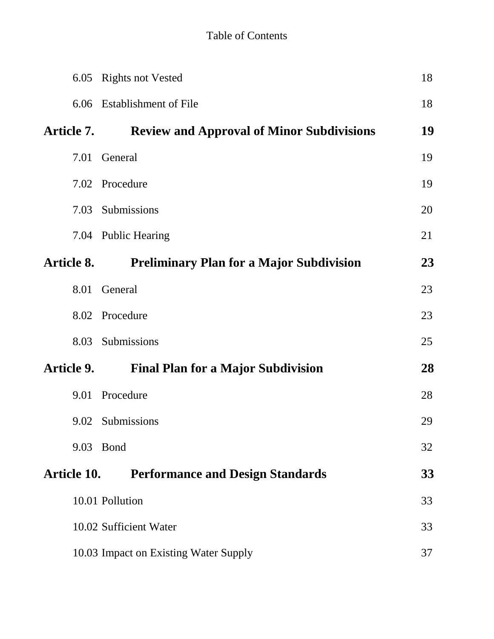| 6.05        | <b>Rights not Vested</b>                         | 18 |
|-------------|--------------------------------------------------|----|
|             | 6.06 Establishment of File                       | 18 |
| Article 7.  | <b>Review and Approval of Minor Subdivisions</b> | 19 |
| 7.01        | General                                          | 19 |
| 7.02        | Procedure                                        | 19 |
|             | 7.03 Submissions                                 | 20 |
|             | 7.04 Public Hearing                              | 21 |
| Article 8.  | <b>Preliminary Plan for a Major Subdivision</b>  | 23 |
| 8.01        | General                                          | 23 |
|             | 8.02 Procedure                                   | 23 |
| 8.03        | Submissions                                      | 25 |
| Article 9.  | <b>Final Plan for a Major Subdivision</b>        | 28 |
|             | 9.01 Procedure                                   | 28 |
|             | 9.02 Submissions                                 | 29 |
|             | 9.03 Bond                                        | 32 |
| Article 10. | <b>Performance and Design Standards</b>          | 33 |
|             | 10.01 Pollution                                  | 33 |
|             | 10.02 Sufficient Water                           | 33 |
|             | 10.03 Impact on Existing Water Supply            | 37 |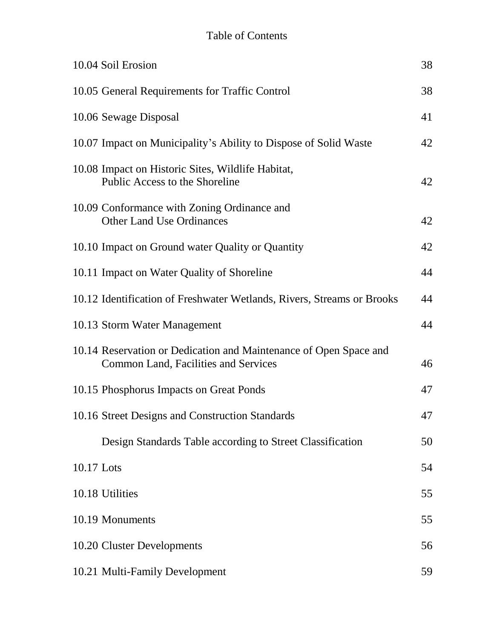# Table of Contents

|            | 10.04 Soil Erosion                                                                                               | 38 |
|------------|------------------------------------------------------------------------------------------------------------------|----|
|            | 10.05 General Requirements for Traffic Control                                                                   | 38 |
|            | 10.06 Sewage Disposal                                                                                            | 41 |
|            | 10.07 Impact on Municipality's Ability to Dispose of Solid Waste                                                 | 42 |
|            | 10.08 Impact on Historic Sites, Wildlife Habitat,<br>Public Access to the Shoreline                              | 42 |
|            | 10.09 Conformance with Zoning Ordinance and<br><b>Other Land Use Ordinances</b>                                  | 42 |
|            | 10.10 Impact on Ground water Quality or Quantity                                                                 | 42 |
|            | 10.11 Impact on Water Quality of Shoreline                                                                       | 44 |
|            | 10.12 Identification of Freshwater Wetlands, Rivers, Streams or Brooks                                           | 44 |
|            | 10.13 Storm Water Management                                                                                     | 44 |
|            | 10.14 Reservation or Dedication and Maintenance of Open Space and<br><b>Common Land, Facilities and Services</b> | 46 |
|            | 10.15 Phosphorus Impacts on Great Ponds                                                                          | 47 |
|            | 10.16 Street Designs and Construction Standards                                                                  | 47 |
|            | Design Standards Table according to Street Classification                                                        | 50 |
| 10.17 Lots |                                                                                                                  | 54 |
|            | 10.18 Utilities                                                                                                  | 55 |
|            | 10.19 Monuments                                                                                                  | 55 |
|            | 10.20 Cluster Developments                                                                                       | 56 |
|            | 10.21 Multi-Family Development                                                                                   | 59 |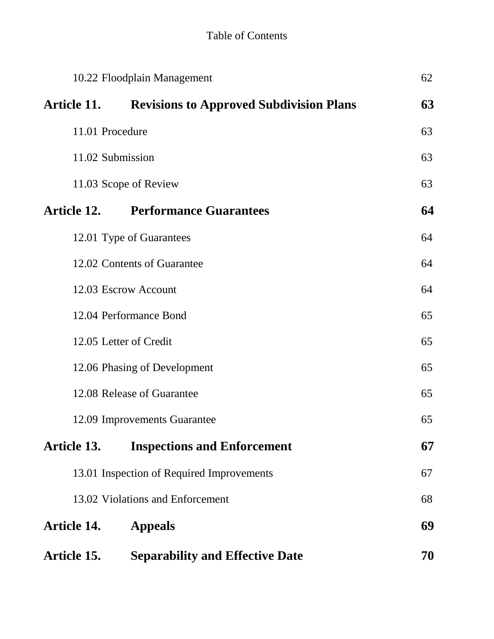| 10.22 Floodplain Management |                                                |    |  |  |
|-----------------------------|------------------------------------------------|----|--|--|
| Article 11.                 | <b>Revisions to Approved Subdivision Plans</b> | 63 |  |  |
| 11.01 Procedure             |                                                | 63 |  |  |
| 11.02 Submission            |                                                | 63 |  |  |
|                             | 11.03 Scope of Review                          | 63 |  |  |
| Article 12.                 | <b>Performance Guarantees</b>                  | 64 |  |  |
|                             | 12.01 Type of Guarantees                       | 64 |  |  |
|                             | 12.02 Contents of Guarantee                    | 64 |  |  |
|                             | 12.03 Escrow Account                           | 64 |  |  |
|                             | 12.04 Performance Bond                         | 65 |  |  |
|                             | 12.05 Letter of Credit                         | 65 |  |  |
|                             | 12.06 Phasing of Development                   | 65 |  |  |
|                             | 12.08 Release of Guarantee                     | 65 |  |  |
|                             | 12.09 Improvements Guarantee                   | 65 |  |  |
| Article 13.                 | <b>Inspections and Enforcement</b>             | 67 |  |  |
|                             | 13.01 Inspection of Required Improvements      | 67 |  |  |
|                             | 13.02 Violations and Enforcement               | 68 |  |  |
| <b>Article 14.</b>          | <b>Appeals</b>                                 | 69 |  |  |
| Article 15.                 | <b>Separability and Effective Date</b>         | 70 |  |  |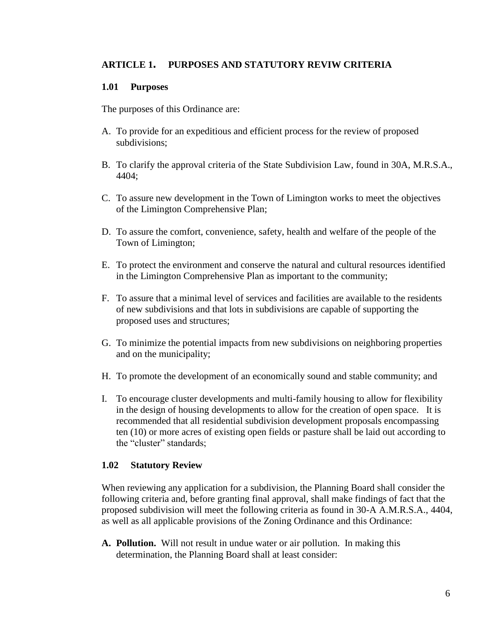## **ARTICLE 1. PURPOSES AND STATUTORY REVIW CRITERIA**

### **1.01 Purposes**

The purposes of this Ordinance are:

- A. To provide for an expeditious and efficient process for the review of proposed subdivisions;
- B. To clarify the approval criteria of the State Subdivision Law, found in 30A, M.R.S.A., 4404;
- C. To assure new development in the Town of Limington works to meet the objectives of the Limington Comprehensive Plan;
- D. To assure the comfort, convenience, safety, health and welfare of the people of the Town of Limington;
- E. To protect the environment and conserve the natural and cultural resources identified in the Limington Comprehensive Plan as important to the community;
- F. To assure that a minimal level of services and facilities are available to the residents of new subdivisions and that lots in subdivisions are capable of supporting the proposed uses and structures;
- G. To minimize the potential impacts from new subdivisions on neighboring properties and on the municipality;
- H. To promote the development of an economically sound and stable community; and
- I. To encourage cluster developments and multi-family housing to allow for flexibility in the design of housing developments to allow for the creation of open space. It is recommended that all residential subdivision development proposals encompassing ten (10) or more acres of existing open fields or pasture shall be laid out according to the "cluster" standards;

### **1.02 Statutory Review**

When reviewing any application for a subdivision, the Planning Board shall consider the following criteria and, before granting final approval, shall make findings of fact that the proposed subdivision will meet the following criteria as found in 30-A A.M.R.S.A., 4404, as well as all applicable provisions of the Zoning Ordinance and this Ordinance:

**A. Pollution.** Will not result in undue water or air pollution. In making this determination, the Planning Board shall at least consider: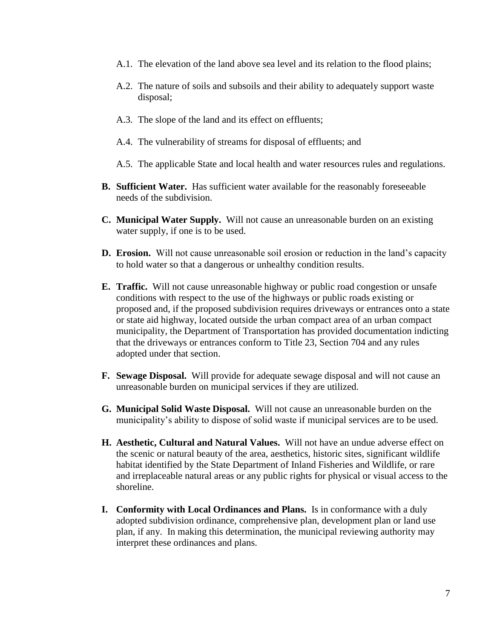- A.1. The elevation of the land above sea level and its relation to the flood plains;
- A.2. The nature of soils and subsoils and their ability to adequately support waste disposal;
- A.3. The slope of the land and its effect on effluents;
- A.4. The vulnerability of streams for disposal of effluents; and
- A.5. The applicable State and local health and water resources rules and regulations.
- **B. Sufficient Water.** Has sufficient water available for the reasonably foreseeable needs of the subdivision.
- **C. Municipal Water Supply.** Will not cause an unreasonable burden on an existing water supply, if one is to be used.
- **D. Erosion.** Will not cause unreasonable soil erosion or reduction in the land's capacity to hold water so that a dangerous or unhealthy condition results.
- **E. Traffic.** Will not cause unreasonable highway or public road congestion or unsafe conditions with respect to the use of the highways or public roads existing or proposed and, if the proposed subdivision requires driveways or entrances onto a state or state aid highway, located outside the urban compact area of an urban compact municipality, the Department of Transportation has provided documentation indicting that the driveways or entrances conform to Title 23, Section 704 and any rules adopted under that section.
- **F. Sewage Disposal.** Will provide for adequate sewage disposal and will not cause an unreasonable burden on municipal services if they are utilized.
- **G. Municipal Solid Waste Disposal.** Will not cause an unreasonable burden on the municipality's ability to dispose of solid waste if municipal services are to be used.
- **H. Aesthetic, Cultural and Natural Values.** Will not have an undue adverse effect on the scenic or natural beauty of the area, aesthetics, historic sites, significant wildlife habitat identified by the State Department of Inland Fisheries and Wildlife, or rare and irreplaceable natural areas or any public rights for physical or visual access to the shoreline.
- **I. Conformity with Local Ordinances and Plans.** Is in conformance with a duly adopted subdivision ordinance, comprehensive plan, development plan or land use plan, if any. In making this determination, the municipal reviewing authority may interpret these ordinances and plans.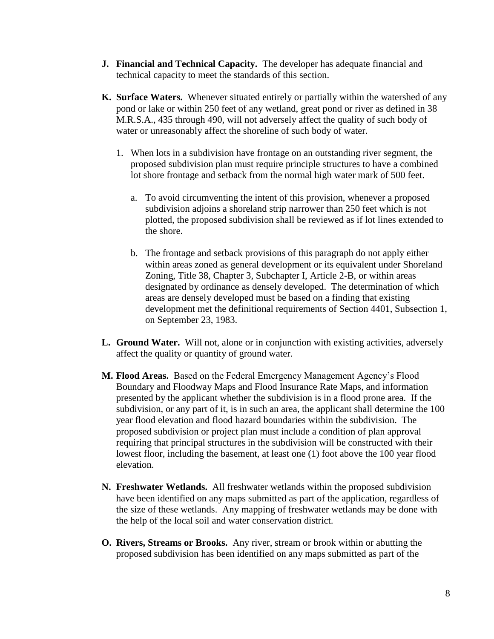- **J. Financial and Technical Capacity.** The developer has adequate financial and technical capacity to meet the standards of this section.
- **K. Surface Waters.** Whenever situated entirely or partially within the watershed of any pond or lake or within 250 feet of any wetland, great pond or river as defined in 38 M.R.S.A., 435 through 490, will not adversely affect the quality of such body of water or unreasonably affect the shoreline of such body of water.
	- 1. When lots in a subdivision have frontage on an outstanding river segment, the proposed subdivision plan must require principle structures to have a combined lot shore frontage and setback from the normal high water mark of 500 feet.
		- a. To avoid circumventing the intent of this provision, whenever a proposed subdivision adjoins a shoreland strip narrower than 250 feet which is not plotted, the proposed subdivision shall be reviewed as if lot lines extended to the shore.
		- b. The frontage and setback provisions of this paragraph do not apply either within areas zoned as general development or its equivalent under Shoreland Zoning, Title 38, Chapter 3, Subchapter I, Article 2-B, or within areas designated by ordinance as densely developed. The determination of which areas are densely developed must be based on a finding that existing development met the definitional requirements of Section 4401, Subsection 1, on September 23, 1983.
- **L. Ground Water.** Will not, alone or in conjunction with existing activities, adversely affect the quality or quantity of ground water.
- **M. Flood Areas.** Based on the Federal Emergency Management Agency's Flood Boundary and Floodway Maps and Flood Insurance Rate Maps, and information presented by the applicant whether the subdivision is in a flood prone area. If the subdivision, or any part of it, is in such an area, the applicant shall determine the 100 year flood elevation and flood hazard boundaries within the subdivision. The proposed subdivision or project plan must include a condition of plan approval requiring that principal structures in the subdivision will be constructed with their lowest floor, including the basement, at least one (1) foot above the 100 year flood elevation.
- **N. Freshwater Wetlands.** All freshwater wetlands within the proposed subdivision have been identified on any maps submitted as part of the application, regardless of the size of these wetlands. Any mapping of freshwater wetlands may be done with the help of the local soil and water conservation district.
- **O. Rivers, Streams or Brooks.** Any river, stream or brook within or abutting the proposed subdivision has been identified on any maps submitted as part of the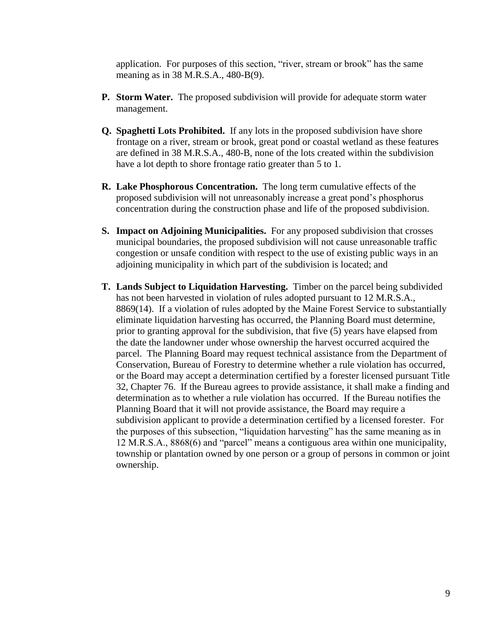application. For purposes of this section, "river, stream or brook" has the same meaning as in 38 M.R.S.A., 480-B(9).

- **P. Storm Water.** The proposed subdivision will provide for adequate storm water management.
- **Q. Spaghetti Lots Prohibited.** If any lots in the proposed subdivision have shore frontage on a river, stream or brook, great pond or coastal wetland as these features are defined in 38 M.R.S.A., 480-B, none of the lots created within the subdivision have a lot depth to shore frontage ratio greater than 5 to 1.
- **R. Lake Phosphorous Concentration.** The long term cumulative effects of the proposed subdivision will not unreasonably increase a great pond's phosphorus concentration during the construction phase and life of the proposed subdivision.
- **S. Impact on Adjoining Municipalities.** For any proposed subdivision that crosses municipal boundaries, the proposed subdivision will not cause unreasonable traffic congestion or unsafe condition with respect to the use of existing public ways in an adjoining municipality in which part of the subdivision is located; and
- **T. Lands Subject to Liquidation Harvesting.** Timber on the parcel being subdivided has not been harvested in violation of rules adopted pursuant to 12 M.R.S.A., 8869(14). If a violation of rules adopted by the Maine Forest Service to substantially eliminate liquidation harvesting has occurred, the Planning Board must determine, prior to granting approval for the subdivision, that five (5) years have elapsed from the date the landowner under whose ownership the harvest occurred acquired the parcel. The Planning Board may request technical assistance from the Department of Conservation, Bureau of Forestry to determine whether a rule violation has occurred, or the Board may accept a determination certified by a forester licensed pursuant Title 32, Chapter 76. If the Bureau agrees to provide assistance, it shall make a finding and determination as to whether a rule violation has occurred. If the Bureau notifies the Planning Board that it will not provide assistance, the Board may require a subdivision applicant to provide a determination certified by a licensed forester. For the purposes of this subsection, "liquidation harvesting" has the same meaning as in 12 M.R.S.A., 8868(6) and "parcel" means a contiguous area within one municipality, township or plantation owned by one person or a group of persons in common or joint ownership.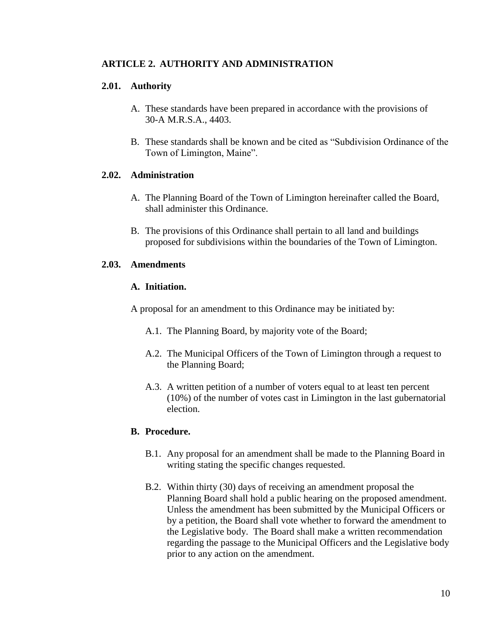## **ARTICLE 2. AUTHORITY AND ADMINISTRATION**

## **2.01. Authority**

- A. These standards have been prepared in accordance with the provisions of 30-A M.R.S.A., 4403.
- B. These standards shall be known and be cited as "Subdivision Ordinance of the Town of Limington, Maine".

### **2.02. Administration**

- A. The Planning Board of the Town of Limington hereinafter called the Board, shall administer this Ordinance.
- B. The provisions of this Ordinance shall pertain to all land and buildings proposed for subdivisions within the boundaries of the Town of Limington.

### **2.03. Amendments**

#### **A. Initiation.**

A proposal for an amendment to this Ordinance may be initiated by:

- A.1. The Planning Board, by majority vote of the Board;
- A.2. The Municipal Officers of the Town of Limington through a request to the Planning Board;
- A.3. A written petition of a number of voters equal to at least ten percent (10%) of the number of votes cast in Limington in the last gubernatorial election.

## **B. Procedure.**

- B.1. Any proposal for an amendment shall be made to the Planning Board in writing stating the specific changes requested.
- B.2. Within thirty (30) days of receiving an amendment proposal the Planning Board shall hold a public hearing on the proposed amendment. Unless the amendment has been submitted by the Municipal Officers or by a petition, the Board shall vote whether to forward the amendment to the Legislative body. The Board shall make a written recommendation regarding the passage to the Municipal Officers and the Legislative body prior to any action on the amendment.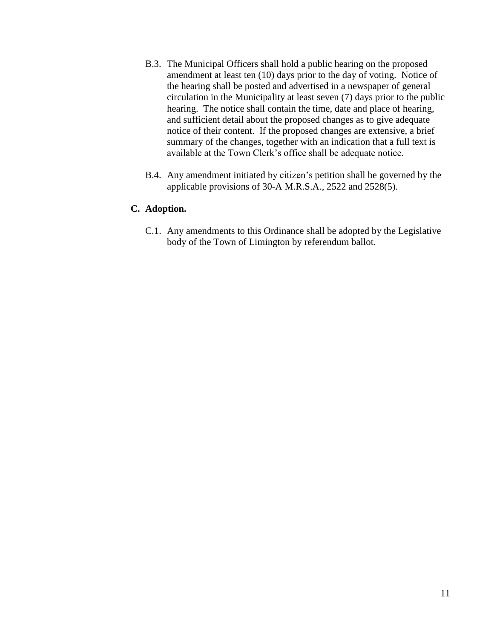- B.3. The Municipal Officers shall hold a public hearing on the proposed amendment at least ten (10) days prior to the day of voting. Notice of the hearing shall be posted and advertised in a newspaper of general circulation in the Municipality at least seven (7) days prior to the public hearing. The notice shall contain the time, date and place of hearing, and sufficient detail about the proposed changes as to give adequate notice of their content. If the proposed changes are extensive, a brief summary of the changes, together with an indication that a full text is available at the Town Clerk's office shall be adequate notice.
- B.4. Any amendment initiated by citizen's petition shall be governed by the applicable provisions of 30-A M.R.S.A., 2522 and 2528(5).

## **C. Adoption.**

C.1. Any amendments to this Ordinance shall be adopted by the Legislative body of the Town of Limington by referendum ballot.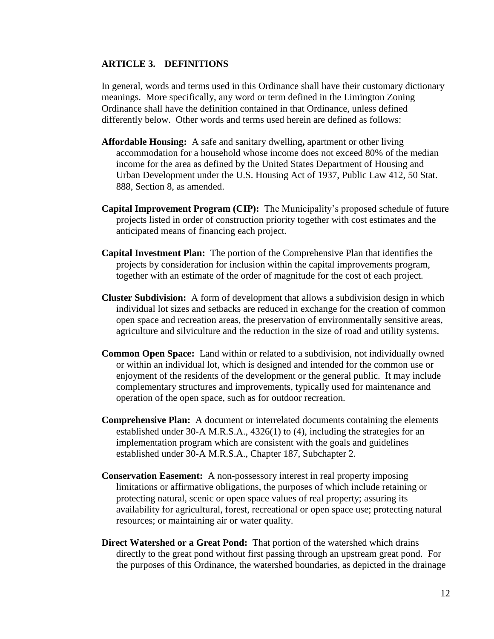## **ARTICLE 3. DEFINITIONS**

In general, words and terms used in this Ordinance shall have their customary dictionary meanings. More specifically, any word or term defined in the Limington Zoning Ordinance shall have the definition contained in that Ordinance, unless defined differently below. Other words and terms used herein are defined as follows:

- **Affordable Housing:** A safe and sanitary dwelling**,** apartment or other living accommodation for a household whose income does not exceed 80% of the median income for the area as defined by the United States Department of Housing and Urban Development under the U.S. Housing Act of 1937, Public Law 412, 50 Stat. 888, Section 8, as amended.
- **Capital Improvement Program (CIP):** The Municipality's proposed schedule of future projects listed in order of construction priority together with cost estimates and the anticipated means of financing each project.
- **Capital Investment Plan:** The portion of the Comprehensive Plan that identifies the projects by consideration for inclusion within the capital improvements program, together with an estimate of the order of magnitude for the cost of each project.
- **Cluster Subdivision:** A form of development that allows a subdivision design in which individual lot sizes and setbacks are reduced in exchange for the creation of common open space and recreation areas, the preservation of environmentally sensitive areas, agriculture and silviculture and the reduction in the size of road and utility systems.
- **Common Open Space:** Land within or related to a subdivision, not individually owned or within an individual lot, which is designed and intended for the common use or enjoyment of the residents of the development or the general public. It may include complementary structures and improvements, typically used for maintenance and operation of the open space, such as for outdoor recreation.
- **Comprehensive Plan:** A document or interrelated documents containing the elements established under 30-A M.R.S.A., 4326(1) to (4), including the strategies for an implementation program which are consistent with the goals and guidelines established under 30-A M.R.S.A., Chapter 187, Subchapter 2.
- **Conservation Easement:** A non-possessory interest in real property imposing limitations or affirmative obligations, the purposes of which include retaining or protecting natural, scenic or open space values of real property; assuring its availability for agricultural, forest, recreational or open space use; protecting natural resources; or maintaining air or water quality.
- **Direct Watershed or a Great Pond:** That portion of the watershed which drains directly to the great pond without first passing through an upstream great pond. For the purposes of this Ordinance, the watershed boundaries, as depicted in the drainage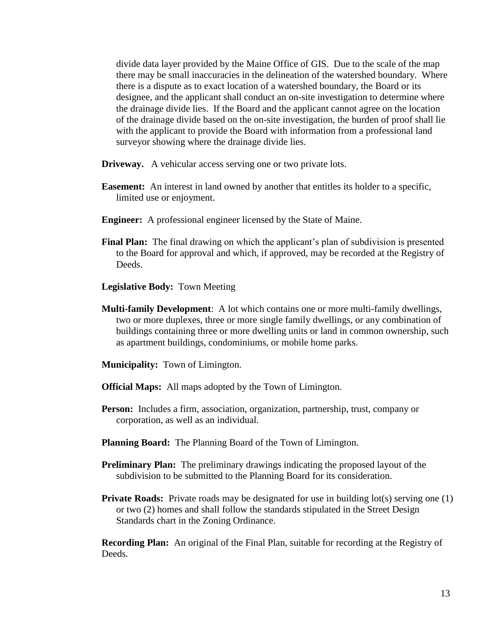divide data layer provided by the Maine Office of GIS. Due to the scale of the map there may be small inaccuracies in the delineation of the watershed boundary. Where there is a dispute as to exact location of a watershed boundary, the Board or its designee, and the applicant shall conduct an on-site investigation to determine where the drainage divide lies. If the Board and the applicant cannot agree on the location of the drainage divide based on the on-site investigation, the burden of proof shall lie with the applicant to provide the Board with information from a professional land surveyor showing where the drainage divide lies.

- **Driveway.** A vehicular access serving one or two private lots.
- **Easement:** An interest in land owned by another that entitles its holder to a specific, limited use or enjoyment.
- **Engineer:** A professional engineer licensed by the State of Maine.
- **Final Plan:** The final drawing on which the applicant's plan of subdivision is presented to the Board for approval and which, if approved, may be recorded at the Registry of Deeds.
- **Legislative Body:** Town Meeting
- **Multi-family Development**: A lot which contains one or more multi-family dwellings, two or more duplexes, three or more single family dwellings, or any combination of buildings containing three or more dwelling units or land in common ownership, such as apartment buildings, condominiums, or mobile home parks.
- **Municipality:** Town of Limington.
- **Official Maps:** All maps adopted by the Town of Limington.
- **Person:** Includes a firm, association, organization, partnership, trust, company or corporation, as well as an individual.
- **Planning Board:** The Planning Board of the Town of Limington.
- **Preliminary Plan:** The preliminary drawings indicating the proposed layout of the subdivision to be submitted to the Planning Board for its consideration.
- **Private Roads:** Private roads may be designated for use in building lot(s) serving one (1) or two (2) homes and shall follow the standards stipulated in the Street Design Standards chart in the Zoning Ordinance.

**Recording Plan:** An original of the Final Plan, suitable for recording at the Registry of Deeds.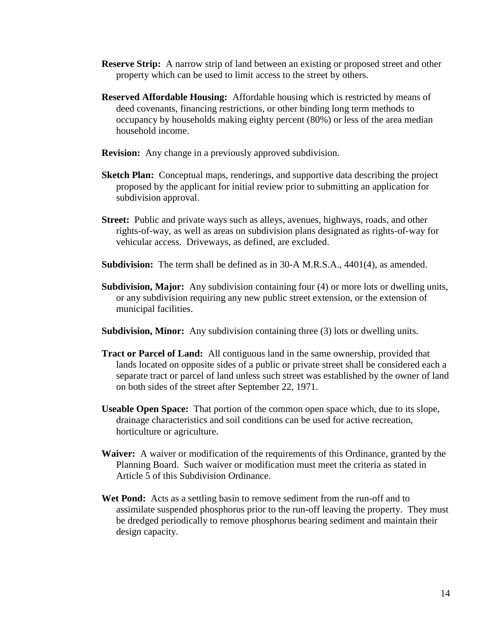- **Reserve Strip:** A narrow strip of land between an existing or proposed street and other property which can be used to limit access to the street by others.
- **Reserved Affordable Housing:** Affordable housing which is restricted by means of deed covenants, financing restrictions, or other binding long term methods to occupancy by households making eighty percent (80%) or less of the area median household income.
- **Revision:** Any change in a previously approved subdivision.
- **Sketch Plan:** Conceptual maps, renderings, and supportive data describing the project proposed by the applicant for initial review prior to submitting an application for subdivision approval.
- **Street:** Public and private ways such as alleys, avenues, highways, roads, and other rights-of-way, as well as areas on subdivision plans designated as rights-of-way for vehicular access. Driveways, as defined, are excluded.
- **Subdivision:** The term shall be defined as in 30-A M.R.S.A., 4401(4), as amended.
- **Subdivision, Major:** Any subdivision containing four (4) or more lots or dwelling units, or any subdivision requiring any new public street extension, or the extension of municipal facilities.
- **Subdivision, Minor:** Any subdivision containing three (3) lots or dwelling units.
- **Tract or Parcel of Land:** All contiguous land in the same ownership, provided that lands located on opposite sides of a public or private street shall be considered each a separate tract or parcel of land unless such street was established by the owner of land on both sides of the street after September 22, 1971.
- **Useable Open Space:** That portion of the common open space which, due to its slope, drainage characteristics and soil conditions can be used for active recreation, horticulture or agriculture.
- **Waiver:** A waiver or modification of the requirements of this Ordinance, granted by the Planning Board. Such waiver or modification must meet the criteria as stated in Article 5 of this Subdivision Ordinance.
- **Wet Pond:** Acts as a settling basin to remove sediment from the run-off and to assimilate suspended phosphorus prior to the run-off leaving the property. They must be dredged periodically to remove phosphorus bearing sediment and maintain their design capacity.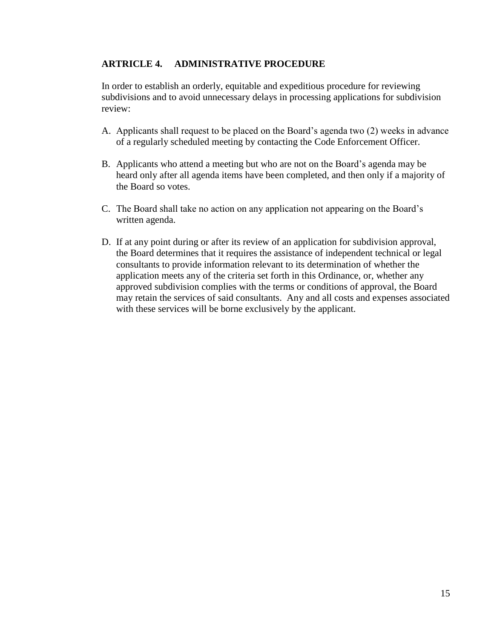## **ARTRICLE 4. ADMINISTRATIVE PROCEDURE**

In order to establish an orderly, equitable and expeditious procedure for reviewing subdivisions and to avoid unnecessary delays in processing applications for subdivision review:

- A. Applicants shall request to be placed on the Board's agenda two (2) weeks in advance of a regularly scheduled meeting by contacting the Code Enforcement Officer.
- B. Applicants who attend a meeting but who are not on the Board's agenda may be heard only after all agenda items have been completed, and then only if a majority of the Board so votes.
- C. The Board shall take no action on any application not appearing on the Board's written agenda.
- D. If at any point during or after its review of an application for subdivision approval, the Board determines that it requires the assistance of independent technical or legal consultants to provide information relevant to its determination of whether the application meets any of the criteria set forth in this Ordinance, or, whether any approved subdivision complies with the terms or conditions of approval, the Board may retain the services of said consultants. Any and all costs and expenses associated with these services will be borne exclusively by the applicant.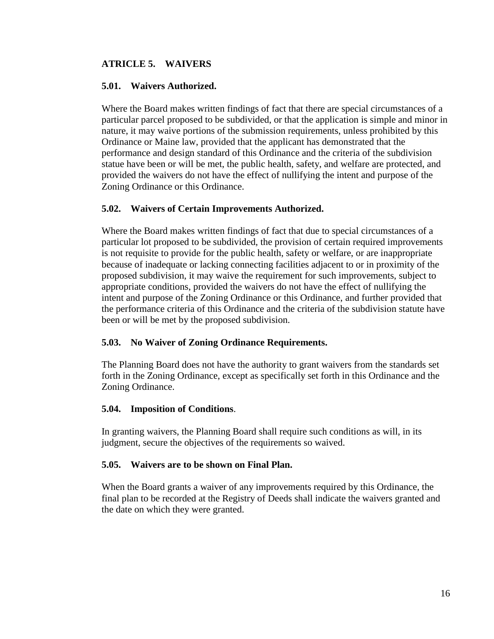## **ATRICLE 5. WAIVERS**

## **5.01. Waivers Authorized.**

Where the Board makes written findings of fact that there are special circumstances of a particular parcel proposed to be subdivided, or that the application is simple and minor in nature, it may waive portions of the submission requirements, unless prohibited by this Ordinance or Maine law, provided that the applicant has demonstrated that the performance and design standard of this Ordinance and the criteria of the subdivision statue have been or will be met, the public health, safety, and welfare are protected, and provided the waivers do not have the effect of nullifying the intent and purpose of the Zoning Ordinance or this Ordinance.

## **5.02. Waivers of Certain Improvements Authorized.**

Where the Board makes written findings of fact that due to special circumstances of a particular lot proposed to be subdivided, the provision of certain required improvements is not requisite to provide for the public health, safety or welfare, or are inappropriate because of inadequate or lacking connecting facilities adjacent to or in proximity of the proposed subdivision, it may waive the requirement for such improvements, subject to appropriate conditions, provided the waivers do not have the effect of nullifying the intent and purpose of the Zoning Ordinance or this Ordinance, and further provided that the performance criteria of this Ordinance and the criteria of the subdivision statute have been or will be met by the proposed subdivision.

## **5.03. No Waiver of Zoning Ordinance Requirements.**

The Planning Board does not have the authority to grant waivers from the standards set forth in the Zoning Ordinance, except as specifically set forth in this Ordinance and the Zoning Ordinance.

### **5.04. Imposition of Conditions**.

In granting waivers, the Planning Board shall require such conditions as will, in its judgment, secure the objectives of the requirements so waived.

### **5.05. Waivers are to be shown on Final Plan.**

When the Board grants a waiver of any improvements required by this Ordinance, the final plan to be recorded at the Registry of Deeds shall indicate the waivers granted and the date on which they were granted.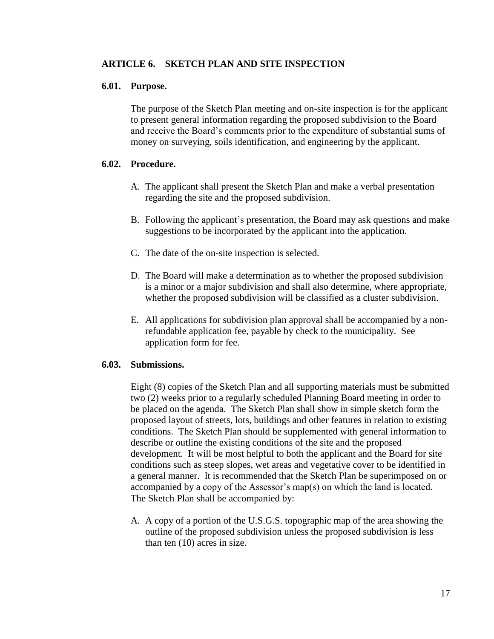## **ARTICLE 6. SKETCH PLAN AND SITE INSPECTION**

#### **6.01. Purpose.**

The purpose of the Sketch Plan meeting and on-site inspection is for the applicant to present general information regarding the proposed subdivision to the Board and receive the Board's comments prior to the expenditure of substantial sums of money on surveying, soils identification, and engineering by the applicant.

### **6.02. Procedure.**

- A. The applicant shall present the Sketch Plan and make a verbal presentation regarding the site and the proposed subdivision.
- B. Following the applicant's presentation, the Board may ask questions and make suggestions to be incorporated by the applicant into the application.
- C. The date of the on-site inspection is selected.
- D. The Board will make a determination as to whether the proposed subdivision is a minor or a major subdivision and shall also determine, where appropriate, whether the proposed subdivision will be classified as a cluster subdivision.
- E. All applications for subdivision plan approval shall be accompanied by a nonrefundable application fee, payable by check to the municipality. See application form for fee.

### **6.03. Submissions.**

Eight (8) copies of the Sketch Plan and all supporting materials must be submitted two (2) weeks prior to a regularly scheduled Planning Board meeting in order to be placed on the agenda. The Sketch Plan shall show in simple sketch form the proposed layout of streets, lots, buildings and other features in relation to existing conditions. The Sketch Plan should be supplemented with general information to describe or outline the existing conditions of the site and the proposed development. It will be most helpful to both the applicant and the Board for site conditions such as steep slopes, wet areas and vegetative cover to be identified in a general manner. It is recommended that the Sketch Plan be superimposed on or accompanied by a copy of the Assessor's map(s) on which the land is located. The Sketch Plan shall be accompanied by:

A. A copy of a portion of the U.S.G.S. topographic map of the area showing the outline of the proposed subdivision unless the proposed subdivision is less than ten (10) acres in size.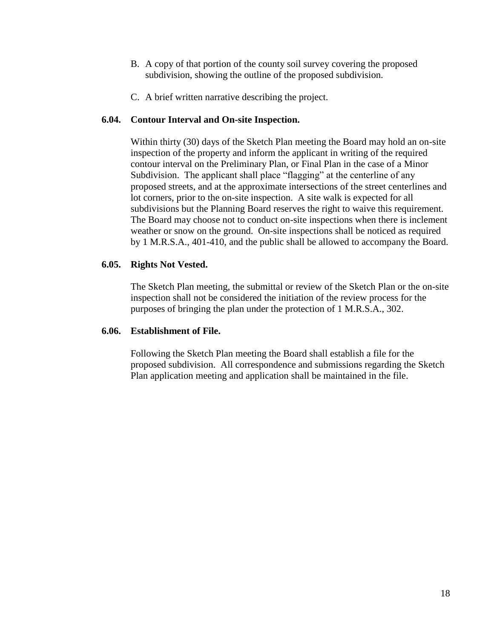- B. A copy of that portion of the county soil survey covering the proposed subdivision, showing the outline of the proposed subdivision.
- C. A brief written narrative describing the project.

## **6.04. Contour Interval and On-site Inspection.**

Within thirty (30) days of the Sketch Plan meeting the Board may hold an on-site inspection of the property and inform the applicant in writing of the required contour interval on the Preliminary Plan, or Final Plan in the case of a Minor Subdivision. The applicant shall place "flagging" at the centerline of any proposed streets, and at the approximate intersections of the street centerlines and lot corners, prior to the on-site inspection. A site walk is expected for all subdivisions but the Planning Board reserves the right to waive this requirement. The Board may choose not to conduct on-site inspections when there is inclement weather or snow on the ground. On-site inspections shall be noticed as required by 1 M.R.S.A., 401-410, and the public shall be allowed to accompany the Board.

## **6.05. Rights Not Vested.**

The Sketch Plan meeting, the submittal or review of the Sketch Plan or the on-site inspection shall not be considered the initiation of the review process for the purposes of bringing the plan under the protection of 1 M.R.S.A., 302.

### **6.06. Establishment of File.**

Following the Sketch Plan meeting the Board shall establish a file for the proposed subdivision. All correspondence and submissions regarding the Sketch Plan application meeting and application shall be maintained in the file.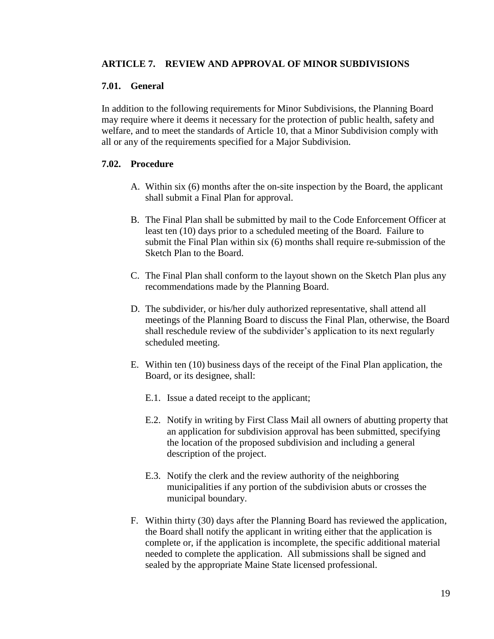## **ARTICLE 7. REVIEW AND APPROVAL OF MINOR SUBDIVISIONS**

### **7.01. General**

In addition to the following requirements for Minor Subdivisions, the Planning Board may require where it deems it necessary for the protection of public health, safety and welfare, and to meet the standards of Article 10, that a Minor Subdivision comply with all or any of the requirements specified for a Major Subdivision.

### **7.02. Procedure**

- A. Within six (6) months after the on-site inspection by the Board, the applicant shall submit a Final Plan for approval.
- B. The Final Plan shall be submitted by mail to the Code Enforcement Officer at least ten (10) days prior to a scheduled meeting of the Board. Failure to submit the Final Plan within six (6) months shall require re-submission of the Sketch Plan to the Board.
- C. The Final Plan shall conform to the layout shown on the Sketch Plan plus any recommendations made by the Planning Board.
- D. The subdivider, or his/her duly authorized representative, shall attend all meetings of the Planning Board to discuss the Final Plan, otherwise, the Board shall reschedule review of the subdivider's application to its next regularly scheduled meeting.
- E. Within ten (10) business days of the receipt of the Final Plan application, the Board, or its designee, shall:
	- E.1. Issue a dated receipt to the applicant;
	- E.2. Notify in writing by First Class Mail all owners of abutting property that an application for subdivision approval has been submitted, specifying the location of the proposed subdivision and including a general description of the project.
	- E.3. Notify the clerk and the review authority of the neighboring municipalities if any portion of the subdivision abuts or crosses the municipal boundary.
- F. Within thirty (30) days after the Planning Board has reviewed the application, the Board shall notify the applicant in writing either that the application is complete or, if the application is incomplete, the specific additional material needed to complete the application. All submissions shall be signed and sealed by the appropriate Maine State licensed professional.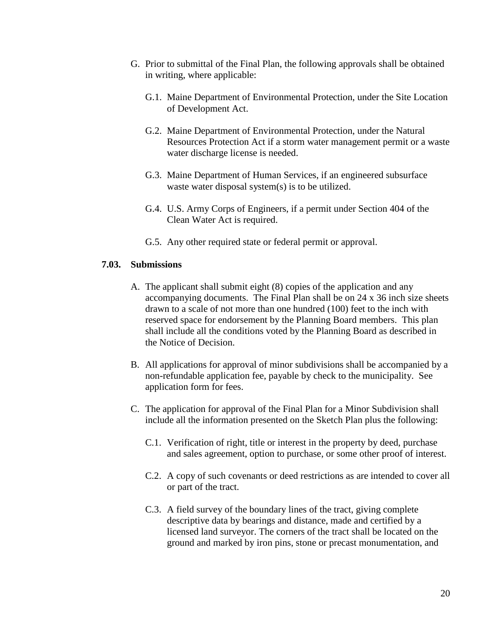- G. Prior to submittal of the Final Plan, the following approvals shall be obtained in writing, where applicable:
	- G.1. Maine Department of Environmental Protection, under the Site Location of Development Act.
	- G.2. Maine Department of Environmental Protection, under the Natural Resources Protection Act if a storm water management permit or a waste water discharge license is needed.
	- G.3. Maine Department of Human Services, if an engineered subsurface waste water disposal system(s) is to be utilized.
	- G.4. U.S. Army Corps of Engineers, if a permit under Section 404 of the Clean Water Act is required.
	- G.5. Any other required state or federal permit or approval.

## **7.03. Submissions**

- A. The applicant shall submit eight (8) copies of the application and any accompanying documents. The Final Plan shall be on 24 x 36 inch size sheets drawn to a scale of not more than one hundred (100) feet to the inch with reserved space for endorsement by the Planning Board members. This plan shall include all the conditions voted by the Planning Board as described in the Notice of Decision.
- B. All applications for approval of minor subdivisions shall be accompanied by a non-refundable application fee, payable by check to the municipality. See application form for fees.
- C. The application for approval of the Final Plan for a Minor Subdivision shall include all the information presented on the Sketch Plan plus the following:
	- C.1. Verification of right, title or interest in the property by deed, purchase and sales agreement, option to purchase, or some other proof of interest.
	- C.2. A copy of such covenants or deed restrictions as are intended to cover all or part of the tract.
	- C.3. A field survey of the boundary lines of the tract, giving complete descriptive data by bearings and distance, made and certified by a licensed land surveyor. The corners of the tract shall be located on the ground and marked by iron pins, stone or precast monumentation, and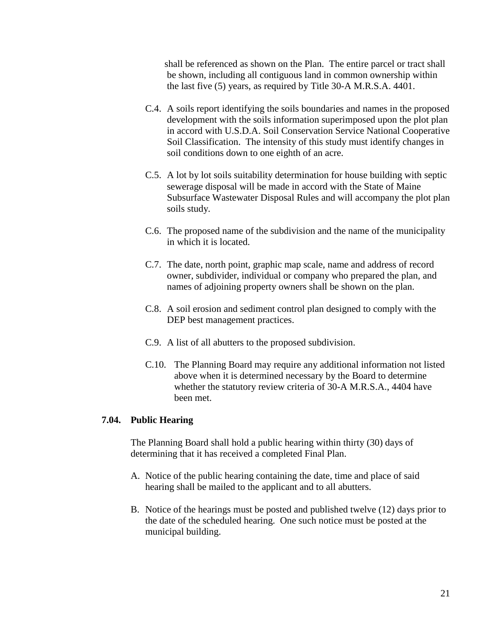shall be referenced as shown on the Plan. The entire parcel or tract shall be shown, including all contiguous land in common ownership within the last five (5) years, as required by Title 30-A M.R.S.A. 4401.

- C.4. A soils report identifying the soils boundaries and names in the proposed development with the soils information superimposed upon the plot plan in accord with U.S.D.A. Soil Conservation Service National Cooperative Soil Classification. The intensity of this study must identify changes in soil conditions down to one eighth of an acre.
- C.5. A lot by lot soils suitability determination for house building with septic sewerage disposal will be made in accord with the State of Maine Subsurface Wastewater Disposal Rules and will accompany the plot plan soils study.
- C.6. The proposed name of the subdivision and the name of the municipality in which it is located.
- C.7. The date, north point, graphic map scale, name and address of record owner, subdivider, individual or company who prepared the plan, and names of adjoining property owners shall be shown on the plan.
- C.8. A soil erosion and sediment control plan designed to comply with the DEP best management practices.
- C.9. A list of all abutters to the proposed subdivision.
- C.10. The Planning Board may require any additional information not listed above when it is determined necessary by the Board to determine whether the statutory review criteria of 30-A M.R.S.A., 4404 have been met.

#### **7.04. Public Hearing**

The Planning Board shall hold a public hearing within thirty (30) days of determining that it has received a completed Final Plan.

- A. Notice of the public hearing containing the date, time and place of said hearing shall be mailed to the applicant and to all abutters.
- B. Notice of the hearings must be posted and published twelve (12) days prior to the date of the scheduled hearing. One such notice must be posted at the municipal building.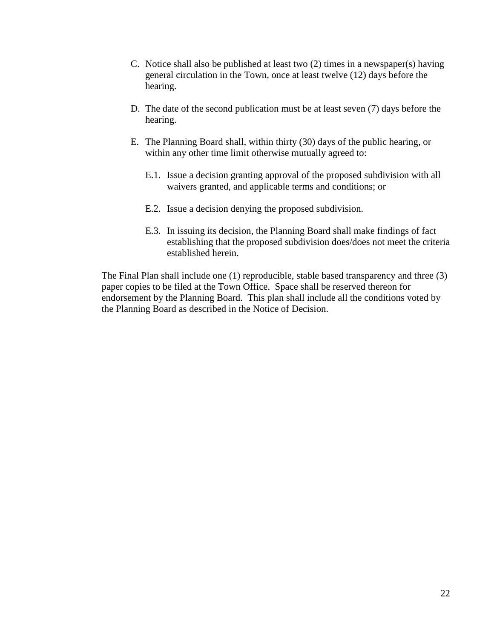- C. Notice shall also be published at least two (2) times in a newspaper(s) having general circulation in the Town, once at least twelve (12) days before the hearing.
- D. The date of the second publication must be at least seven (7) days before the hearing.
- E. The Planning Board shall, within thirty (30) days of the public hearing, or within any other time limit otherwise mutually agreed to:
	- E.1. Issue a decision granting approval of the proposed subdivision with all waivers granted, and applicable terms and conditions; or
	- E.2. Issue a decision denying the proposed subdivision.
	- E.3. In issuing its decision, the Planning Board shall make findings of fact establishing that the proposed subdivision does/does not meet the criteria established herein.

The Final Plan shall include one (1) reproducible, stable based transparency and three (3) paper copies to be filed at the Town Office. Space shall be reserved thereon for endorsement by the Planning Board. This plan shall include all the conditions voted by the Planning Board as described in the Notice of Decision.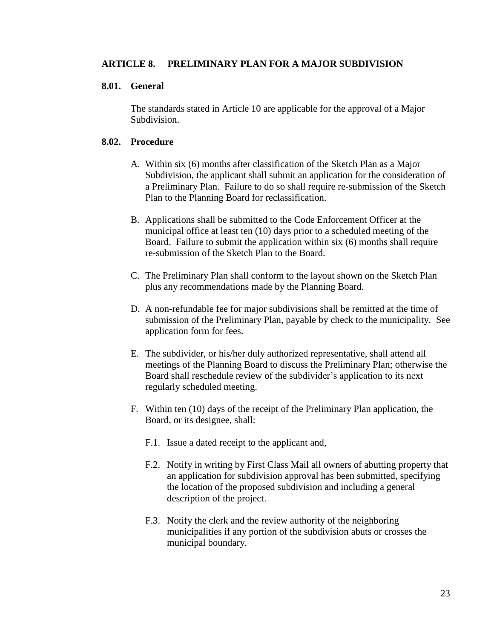## **ARTICLE 8. PRELIMINARY PLAN FOR A MAJOR SUBDIVISION**

### **8.01. General**

The standards stated in Article 10 are applicable for the approval of a Major Subdivision.

### **8.02. Procedure**

- A. Within six (6) months after classification of the Sketch Plan as a Major Subdivision, the applicant shall submit an application for the consideration of a Preliminary Plan. Failure to do so shall require re-submission of the Sketch Plan to the Planning Board for reclassification.
- B. Applications shall be submitted to the Code Enforcement Officer at the municipal office at least ten (10) days prior to a scheduled meeting of the Board. Failure to submit the application within six (6) months shall require re-submission of the Sketch Plan to the Board.
- C. The Preliminary Plan shall conform to the layout shown on the Sketch Plan plus any recommendations made by the Planning Board.
- D. A non-refundable fee for major subdivisions shall be remitted at the time of submission of the Preliminary Plan, payable by check to the municipality. See application form for fees.
- E. The subdivider, or his/her duly authorized representative, shall attend all meetings of the Planning Board to discuss the Preliminary Plan; otherwise the Board shall reschedule review of the subdivider's application to its next regularly scheduled meeting.
- F. Within ten (10) days of the receipt of the Preliminary Plan application, the Board, or its designee, shall:
	- F.1. Issue a dated receipt to the applicant and,
	- F.2. Notify in writing by First Class Mail all owners of abutting property that an application for subdivision approval has been submitted, specifying the location of the proposed subdivision and including a general description of the project.
	- F.3. Notify the clerk and the review authority of the neighboring municipalities if any portion of the subdivision abuts or crosses the municipal boundary.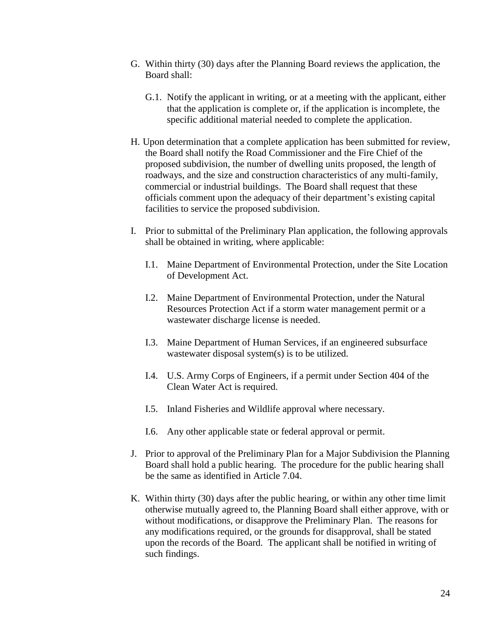- G. Within thirty (30) days after the Planning Board reviews the application, the Board shall:
	- G.1. Notify the applicant in writing, or at a meeting with the applicant, either that the application is complete or, if the application is incomplete, the specific additional material needed to complete the application.
- H. Upon determination that a complete application has been submitted for review, the Board shall notify the Road Commissioner and the Fire Chief of the proposed subdivision, the number of dwelling units proposed, the length of roadways, and the size and construction characteristics of any multi-family, commercial or industrial buildings. The Board shall request that these officials comment upon the adequacy of their department's existing capital facilities to service the proposed subdivision.
- I. Prior to submittal of the Preliminary Plan application, the following approvals shall be obtained in writing, where applicable:
	- I.1. Maine Department of Environmental Protection, under the Site Location of Development Act.
	- I.2. Maine Department of Environmental Protection, under the Natural Resources Protection Act if a storm water management permit or a wastewater discharge license is needed.
	- I.3. Maine Department of Human Services, if an engineered subsurface wastewater disposal system(s) is to be utilized.
	- I.4. U.S. Army Corps of Engineers, if a permit under Section 404 of the Clean Water Act is required.
	- I.5. Inland Fisheries and Wildlife approval where necessary.
	- I.6. Any other applicable state or federal approval or permit.
- J. Prior to approval of the Preliminary Plan for a Major Subdivision the Planning Board shall hold a public hearing. The procedure for the public hearing shall be the same as identified in Article 7.04.
- K. Within thirty (30) days after the public hearing, or within any other time limit otherwise mutually agreed to, the Planning Board shall either approve, with or without modifications, or disapprove the Preliminary Plan. The reasons for any modifications required, or the grounds for disapproval, shall be stated upon the records of the Board. The applicant shall be notified in writing of such findings.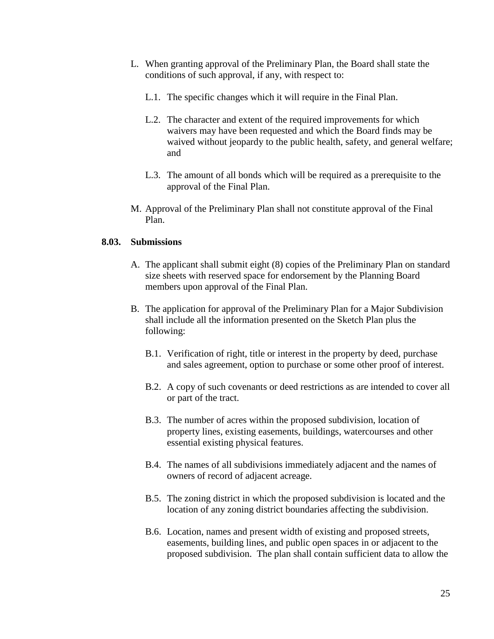- L. When granting approval of the Preliminary Plan, the Board shall state the conditions of such approval, if any, with respect to:
	- L.1. The specific changes which it will require in the Final Plan.
	- L.2. The character and extent of the required improvements for which waivers may have been requested and which the Board finds may be waived without jeopardy to the public health, safety, and general welfare; and
	- L.3. The amount of all bonds which will be required as a prerequisite to the approval of the Final Plan.
- M. Approval of the Preliminary Plan shall not constitute approval of the Final Plan.

## **8.03. Submissions**

- A. The applicant shall submit eight (8) copies of the Preliminary Plan on standard size sheets with reserved space for endorsement by the Planning Board members upon approval of the Final Plan.
- B. The application for approval of the Preliminary Plan for a Major Subdivision shall include all the information presented on the Sketch Plan plus the following:
	- B.1. Verification of right, title or interest in the property by deed, purchase and sales agreement, option to purchase or some other proof of interest.
	- B.2. A copy of such covenants or deed restrictions as are intended to cover all or part of the tract.
	- B.3. The number of acres within the proposed subdivision, location of property lines, existing easements, buildings, watercourses and other essential existing physical features.
	- B.4. The names of all subdivisions immediately adjacent and the names of owners of record of adjacent acreage.
	- B.5. The zoning district in which the proposed subdivision is located and the location of any zoning district boundaries affecting the subdivision.
	- B.6. Location, names and present width of existing and proposed streets, easements, building lines, and public open spaces in or adjacent to the proposed subdivision. The plan shall contain sufficient data to allow the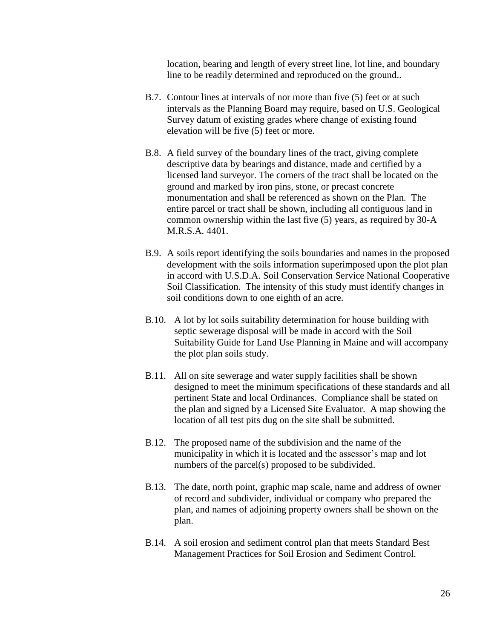location, bearing and length of every street line, lot line, and boundary line to be readily determined and reproduced on the ground..

- B.7. Contour lines at intervals of nor more than five (5) feet or at such intervals as the Planning Board may require, based on U.S. Geological Survey datum of existing grades where change of existing found elevation will be five (5) feet or more.
- B.8. A field survey of the boundary lines of the tract, giving complete descriptive data by bearings and distance, made and certified by a licensed land surveyor. The corners of the tract shall be located on the ground and marked by iron pins, stone, or precast concrete monumentation and shall be referenced as shown on the Plan. The entire parcel or tract shall be shown, including all contiguous land in common ownership within the last five (5) years, as required by 30-A M.R.S.A. 4401.
- B.9. A soils report identifying the soils boundaries and names in the proposed development with the soils information superimposed upon the plot plan in accord with U.S.D.A. Soil Conservation Service National Cooperative Soil Classification. The intensity of this study must identify changes in soil conditions down to one eighth of an acre.
- B.10. A lot by lot soils suitability determination for house building with septic sewerage disposal will be made in accord with the Soil Suitability Guide for Land Use Planning in Maine and will accompany the plot plan soils study.
- B.11. All on site sewerage and water supply facilities shall be shown designed to meet the minimum specifications of these standards and all pertinent State and local Ordinances. Compliance shall be stated on the plan and signed by a Licensed Site Evaluator. A map showing the location of all test pits dug on the site shall be submitted.
- B.12. The proposed name of the subdivision and the name of the municipality in which it is located and the assessor's map and lot numbers of the parcel(s) proposed to be subdivided.
- B.13. The date, north point, graphic map scale, name and address of owner of record and subdivider, individual or company who prepared the plan, and names of adjoining property owners shall be shown on the plan.
- B.14. A soil erosion and sediment control plan that meets Standard Best Management Practices for Soil Erosion and Sediment Control.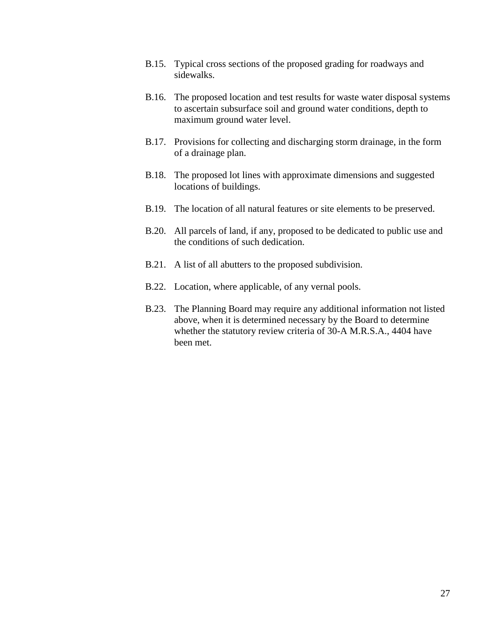- B.15. Typical cross sections of the proposed grading for roadways and sidewalks.
- B.16. The proposed location and test results for waste water disposal systems to ascertain subsurface soil and ground water conditions, depth to maximum ground water level.
- B.17. Provisions for collecting and discharging storm drainage, in the form of a drainage plan.
- B.18. The proposed lot lines with approximate dimensions and suggested locations of buildings.
- B.19. The location of all natural features or site elements to be preserved.
- B.20. All parcels of land, if any, proposed to be dedicated to public use and the conditions of such dedication.
- B.21. A list of all abutters to the proposed subdivision.
- B.22. Location, where applicable, of any vernal pools.
- B.23. The Planning Board may require any additional information not listed above, when it is determined necessary by the Board to determine whether the statutory review criteria of 30-A M.R.S.A., 4404 have been met.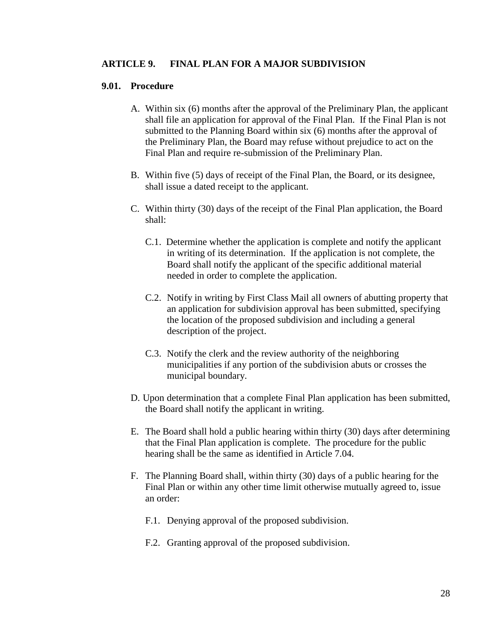#### **ARTICLE 9. FINAL PLAN FOR A MAJOR SUBDIVISION**

#### **9.01. Procedure**

- A. Within six (6) months after the approval of the Preliminary Plan, the applicant shall file an application for approval of the Final Plan. If the Final Plan is not submitted to the Planning Board within six (6) months after the approval of the Preliminary Plan, the Board may refuse without prejudice to act on the Final Plan and require re-submission of the Preliminary Plan.
- B. Within five (5) days of receipt of the Final Plan, the Board, or its designee, shall issue a dated receipt to the applicant.
- C. Within thirty (30) days of the receipt of the Final Plan application, the Board shall:
	- C.1. Determine whether the application is complete and notify the applicant in writing of its determination. If the application is not complete, the Board shall notify the applicant of the specific additional material needed in order to complete the application.
	- C.2. Notify in writing by First Class Mail all owners of abutting property that an application for subdivision approval has been submitted, specifying the location of the proposed subdivision and including a general description of the project.
	- C.3. Notify the clerk and the review authority of the neighboring municipalities if any portion of the subdivision abuts or crosses the municipal boundary.
- D. Upon determination that a complete Final Plan application has been submitted, the Board shall notify the applicant in writing.
- E. The Board shall hold a public hearing within thirty (30) days after determining that the Final Plan application is complete. The procedure for the public hearing shall be the same as identified in Article 7.04.
- F. The Planning Board shall, within thirty (30) days of a public hearing for the Final Plan or within any other time limit otherwise mutually agreed to, issue an order:
	- F.1. Denying approval of the proposed subdivision.
	- F.2. Granting approval of the proposed subdivision.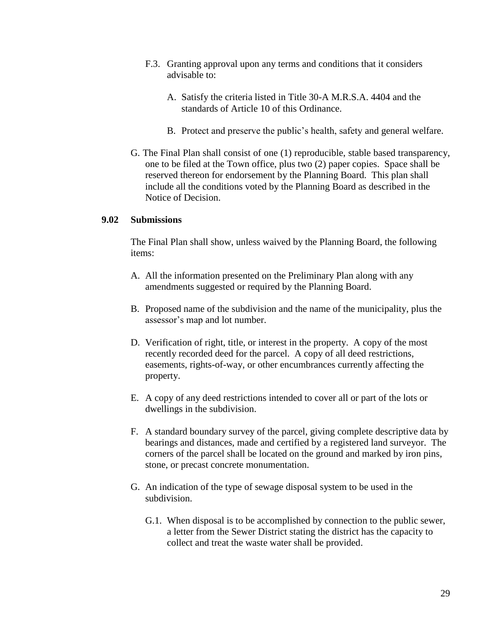- F.3. Granting approval upon any terms and conditions that it considers advisable to:
	- A. Satisfy the criteria listed in Title 30-A M.R.S.A. 4404 and the standards of Article 10 of this Ordinance.
	- B. Protect and preserve the public's health, safety and general welfare.
- G. The Final Plan shall consist of one (1) reproducible, stable based transparency, one to be filed at the Town office, plus two (2) paper copies. Space shall be reserved thereon for endorsement by the Planning Board. This plan shall include all the conditions voted by the Planning Board as described in the Notice of Decision.

### **9.02 Submissions**

The Final Plan shall show, unless waived by the Planning Board, the following items:

- A. All the information presented on the Preliminary Plan along with any amendments suggested or required by the Planning Board.
- B. Proposed name of the subdivision and the name of the municipality, plus the assessor's map and lot number.
- D. Verification of right, title, or interest in the property. A copy of the most recently recorded deed for the parcel. A copy of all deed restrictions, easements, rights-of-way, or other encumbrances currently affecting the property.
- E. A copy of any deed restrictions intended to cover all or part of the lots or dwellings in the subdivision.
- F. A standard boundary survey of the parcel, giving complete descriptive data by bearings and distances, made and certified by a registered land surveyor. The corners of the parcel shall be located on the ground and marked by iron pins, stone, or precast concrete monumentation.
- G. An indication of the type of sewage disposal system to be used in the subdivision.
	- G.1. When disposal is to be accomplished by connection to the public sewer, a letter from the Sewer District stating the district has the capacity to collect and treat the waste water shall be provided.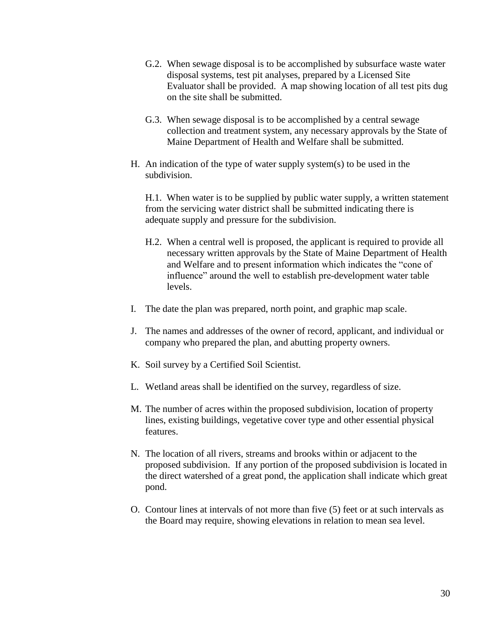- G.2. When sewage disposal is to be accomplished by subsurface waste water disposal systems, test pit analyses, prepared by a Licensed Site Evaluator shall be provided. A map showing location of all test pits dug on the site shall be submitted.
- G.3. When sewage disposal is to be accomplished by a central sewage collection and treatment system, any necessary approvals by the State of Maine Department of Health and Welfare shall be submitted.
- H. An indication of the type of water supply system(s) to be used in the subdivision.

H.1. When water is to be supplied by public water supply, a written statement from the servicing water district shall be submitted indicating there is adequate supply and pressure for the subdivision.

- H.2. When a central well is proposed, the applicant is required to provide all necessary written approvals by the State of Maine Department of Health and Welfare and to present information which indicates the "cone of influence" around the well to establish pre-development water table levels.
- I. The date the plan was prepared, north point, and graphic map scale.
- J. The names and addresses of the owner of record, applicant, and individual or company who prepared the plan, and abutting property owners.
- K. Soil survey by a Certified Soil Scientist.
- L. Wetland areas shall be identified on the survey, regardless of size.
- M. The number of acres within the proposed subdivision, location of property lines, existing buildings, vegetative cover type and other essential physical features.
- N. The location of all rivers, streams and brooks within or adjacent to the proposed subdivision. If any portion of the proposed subdivision is located in the direct watershed of a great pond, the application shall indicate which great pond.
- O. Contour lines at intervals of not more than five (5) feet or at such intervals as the Board may require, showing elevations in relation to mean sea level.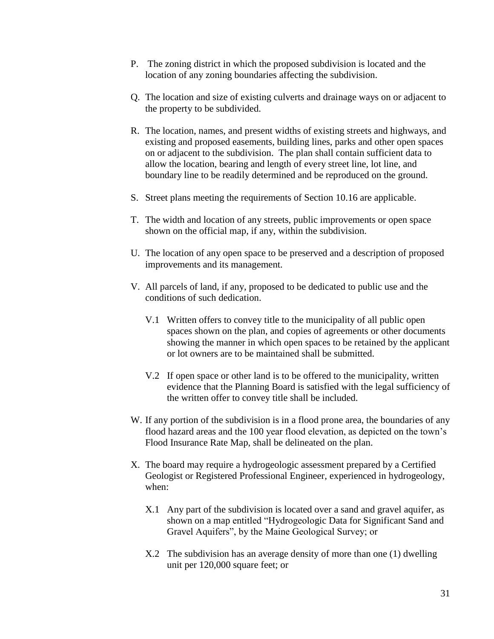- P. The zoning district in which the proposed subdivision is located and the location of any zoning boundaries affecting the subdivision.
- Q. The location and size of existing culverts and drainage ways on or adjacent to the property to be subdivided.
- R. The location, names, and present widths of existing streets and highways, and existing and proposed easements, building lines, parks and other open spaces on or adjacent to the subdivision. The plan shall contain sufficient data to allow the location, bearing and length of every street line, lot line, and boundary line to be readily determined and be reproduced on the ground.
- S. Street plans meeting the requirements of Section 10.16 are applicable.
- T. The width and location of any streets, public improvements or open space shown on the official map, if any, within the subdivision.
- U. The location of any open space to be preserved and a description of proposed improvements and its management.
- V. All parcels of land, if any, proposed to be dedicated to public use and the conditions of such dedication.
	- V.1 Written offers to convey title to the municipality of all public open spaces shown on the plan, and copies of agreements or other documents showing the manner in which open spaces to be retained by the applicant or lot owners are to be maintained shall be submitted.
	- V.2 If open space or other land is to be offered to the municipality, written evidence that the Planning Board is satisfied with the legal sufficiency of the written offer to convey title shall be included.
- W. If any portion of the subdivision is in a flood prone area, the boundaries of any flood hazard areas and the 100 year flood elevation, as depicted on the town's Flood Insurance Rate Map, shall be delineated on the plan.
- X. The board may require a hydrogeologic assessment prepared by a Certified Geologist or Registered Professional Engineer, experienced in hydrogeology, when:
	- X.1 Any part of the subdivision is located over a sand and gravel aquifer, as shown on a map entitled "Hydrogeologic Data for Significant Sand and Gravel Aquifers", by the Maine Geological Survey; or
	- X.2 The subdivision has an average density of more than one (1) dwelling unit per 120,000 square feet; or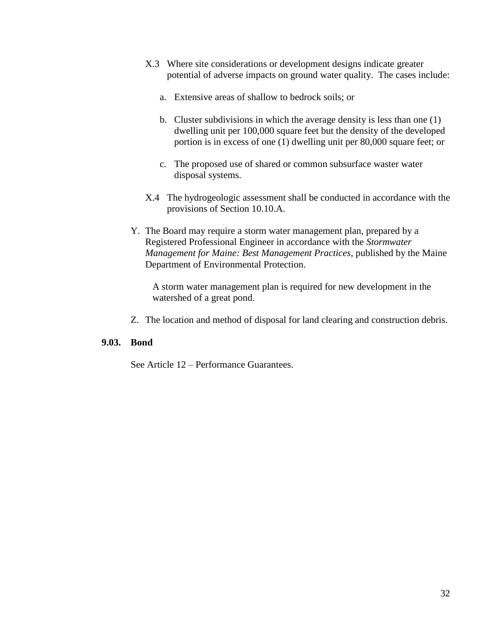- X.3 Where site considerations or development designs indicate greater potential of adverse impacts on ground water quality. The cases include:
	- a. Extensive areas of shallow to bedrock soils; or
	- b. Cluster subdivisions in which the average density is less than one (1) dwelling unit per 100,000 square feet but the density of the developed portion is in excess of one (1) dwelling unit per 80,000 square feet; or
	- c. The proposed use of shared or common subsurface waster water disposal systems.
- X.4 The hydrogeologic assessment shall be conducted in accordance with the provisions of Section 10.10.A.
- Y. The Board may require a storm water management plan, prepared by a Registered Professional Engineer in accordance with the *Stormwater Management for Maine: Best Management Practices*, published by the Maine Department of Environmental Protection.

A storm water management plan is required for new development in the watershed of a great pond.

Z. The location and method of disposal for land clearing and construction debris.

#### **9.03. Bond**

See Article 12 – Performance Guarantees.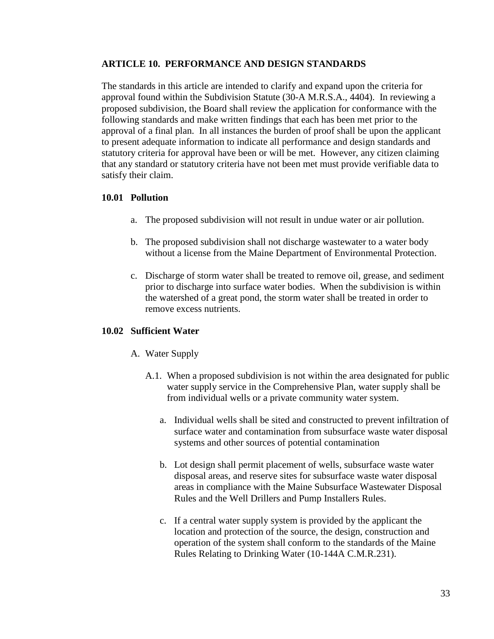## **ARTICLE 10. PERFORMANCE AND DESIGN STANDARDS**

The standards in this article are intended to clarify and expand upon the criteria for approval found within the Subdivision Statute (30-A M.R.S.A., 4404). In reviewing a proposed subdivision, the Board shall review the application for conformance with the following standards and make written findings that each has been met prior to the approval of a final plan. In all instances the burden of proof shall be upon the applicant to present adequate information to indicate all performance and design standards and statutory criteria for approval have been or will be met. However, any citizen claiming that any standard or statutory criteria have not been met must provide verifiable data to satisfy their claim.

## **10.01 Pollution**

- a. The proposed subdivision will not result in undue water or air pollution.
- b. The proposed subdivision shall not discharge wastewater to a water body without a license from the Maine Department of Environmental Protection.
- c. Discharge of storm water shall be treated to remove oil, grease, and sediment prior to discharge into surface water bodies. When the subdivision is within the watershed of a great pond, the storm water shall be treated in order to remove excess nutrients.

## **10.02 Sufficient Water**

- A. Water Supply
	- A.1. When a proposed subdivision is not within the area designated for public water supply service in the Comprehensive Plan, water supply shall be from individual wells or a private community water system.
		- a. Individual wells shall be sited and constructed to prevent infiltration of surface water and contamination from subsurface waste water disposal systems and other sources of potential contamination
		- b. Lot design shall permit placement of wells, subsurface waste water disposal areas, and reserve sites for subsurface waste water disposal areas in compliance with the Maine Subsurface Wastewater Disposal Rules and the Well Drillers and Pump Installers Rules.
		- c. If a central water supply system is provided by the applicant the location and protection of the source, the design, construction and operation of the system shall conform to the standards of the Maine Rules Relating to Drinking Water (10-144A C.M.R.231).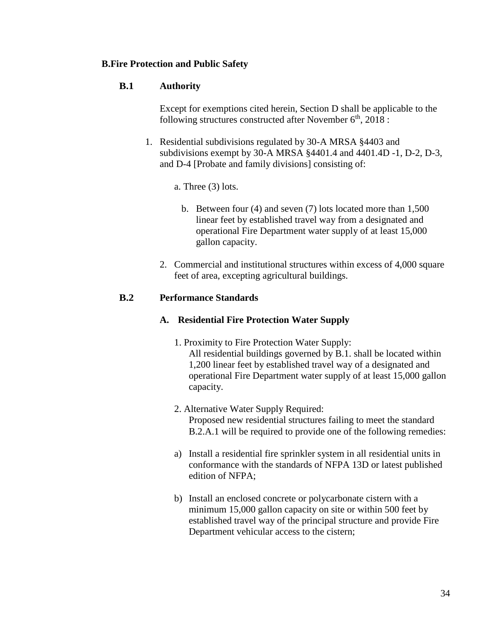## **B.Fire Protection and Public Safety**

## **B.1 Authority**

Except for exemptions cited herein, Section D shall be applicable to the following structures constructed after November  $6<sup>th</sup>$ , 2018 :

1. Residential subdivisions regulated by 30-A MRSA §4403 and subdivisions exempt by 30-A MRSA §4401.4 and 4401.4D -1, D-2, D-3, and D-4 [Probate and family divisions] consisting of:

a. Three (3) lots.

- b. Between four (4) and seven (7) lots located more than 1,500 linear feet by established travel way from a designated and operational Fire Department water supply of at least 15,000 gallon capacity.
- 2. Commercial and institutional structures within excess of 4,000 square feet of area, excepting agricultural buildings.

## **B.2 Performance Standards**

## **A. Residential Fire Protection Water Supply**

- 1. Proximity to Fire Protection Water Supply: All residential buildings governed by B.1. shall be located within 1,200 linear feet by established travel way of a designated and operational Fire Department water supply of at least 15,000 gallon capacity.
- 2. Alternative Water Supply Required: Proposed new residential structures failing to meet the standard B.2.A.1 will be required to provide one of the following remedies:
- a) Install a residential fire sprinkler system in all residential units in conformance with the standards of NFPA 13D or latest published edition of NFPA;
- b) Install an enclosed concrete or polycarbonate cistern with a minimum 15,000 gallon capacity on site or within 500 feet by established travel way of the principal structure and provide Fire Department vehicular access to the cistern;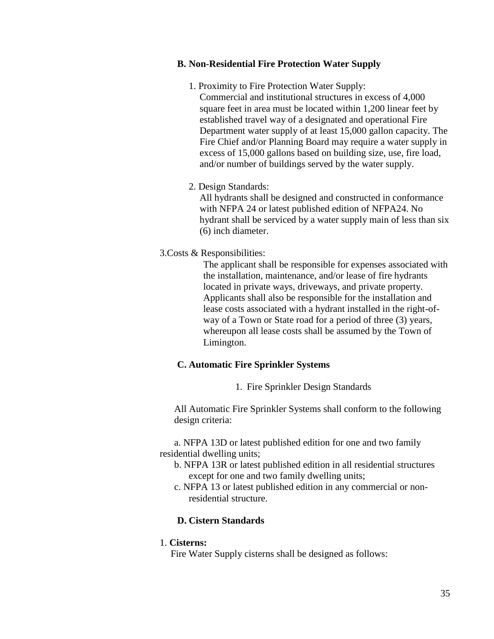## **B. Non-Residential Fire Protection Water Supply**

1. Proximity to Fire Protection Water Supply: Commercial and institutional structures in excess of 4,000 square feet in area must be located within 1,200 linear feet by established travel way of a designated and operational Fire Department water supply of at least 15,000 gallon capacity. The Fire Chief and/or Planning Board may require a water supply in excess of 15,000 gallons based on building size, use, fire load, and/or number of buildings served by the water supply.

## 2. Design Standards:

All hydrants shall be designed and constructed in conformance with NFPA 24 or latest published edition of NFPA24. No hydrant shall be serviced by a water supply main of less than six (6) inch diameter.

## 3.Costs & Responsibilities:

The applicant shall be responsible for expenses associated with the installation, maintenance, and/or lease of fire hydrants located in private ways, driveways, and private property. Applicants shall also be responsible for the installation and lease costs associated with a hydrant installed in the right-ofway of a Town or State road for a period of three (3) years, whereupon all lease costs shall be assumed by the Town of Limington.

## **C. Automatic Fire Sprinkler Systems**

1. Fire Sprinkler Design Standards

All Automatic Fire Sprinkler Systems shall conform to the following design criteria:

a. NFPA 13D or latest published edition for one and two family residential dwelling units;

- b. NFPA 13R or latest published edition in all residential structures except for one and two family dwelling units;
- c. NFPA 13 or latest published edition in any commercial or nonresidential structure.

## **D. Cistern Standards**

### 1. **Cisterns:**

Fire Water Supply cisterns shall be designed as follows: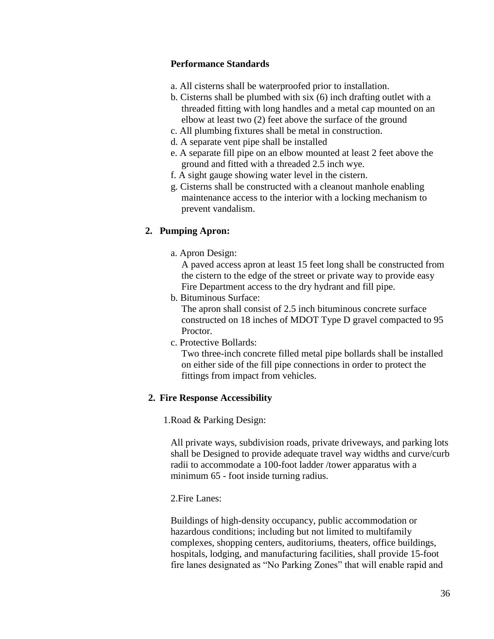## **Performance Standards**

- a. All cisterns shall be waterproofed prior to installation.
- b. Cisterns shall be plumbed with six (6) inch drafting outlet with a threaded fitting with long handles and a metal cap mounted on an elbow at least two (2) feet above the surface of the ground
- c. All plumbing fixtures shall be metal in construction.
- d. A separate vent pipe shall be installed
- e. A separate fill pipe on an elbow mounted at least 2 feet above the ground and fitted with a threaded 2.5 inch wye.
- f. A sight gauge showing water level in the cistern.
- g. Cisterns shall be constructed with a cleanout manhole enabling maintenance access to the interior with a locking mechanism to prevent vandalism.

### **2. Pumping Apron:**

a. Apron Design:

A paved access apron at least 15 feet long shall be constructed from the cistern to the edge of the street or private way to provide easy Fire Department access to the dry hydrant and fill pipe.

b. Bituminous Surface:

The apron shall consist of 2.5 inch bituminous concrete surface constructed on 18 inches of MDOT Type D gravel compacted to 95 Proctor.

c. Protective Bollards:

Two three-inch concrete filled metal pipe bollards shall be installed on either side of the fill pipe connections in order to protect the fittings from impact from vehicles.

### **2. Fire Response Accessibility**

1.Road & Parking Design:

All private ways, subdivision roads, private driveways, and parking lots shall be Designed to provide adequate travel way widths and curve/curb radii to accommodate a 100-foot ladder /tower apparatus with a minimum 65 - foot inside turning radius.

## 2.Fire Lanes:

Buildings of high-density occupancy, public accommodation or hazardous conditions; including but not limited to multifamily complexes, shopping centers, auditoriums, theaters, office buildings, hospitals, lodging, and manufacturing facilities, shall provide 15-foot fire lanes designated as "No Parking Zones" that will enable rapid and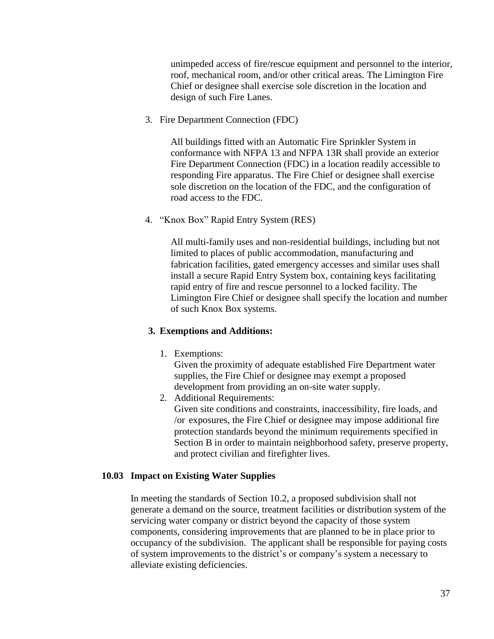unimpeded access of fire/rescue equipment and personnel to the interior, roof, mechanical room, and/or other critical areas. The Limington Fire Chief or designee shall exercise sole discretion in the location and design of such Fire Lanes.

3. Fire Department Connection (FDC)

All buildings fitted with an Automatic Fire Sprinkler System in conformance with NFPA 13 and NFPA 13R shall provide an exterior Fire Department Connection (FDC) in a location readily accessible to responding Fire apparatus. The Fire Chief or designee shall exercise sole discretion on the location of the FDC, and the configuration of road access to the FDC.

4. "Knox Box" Rapid Entry System (RES)

All multi-family uses and non-residential buildings, including but not limited to places of public accommodation, manufacturing and fabrication facilities, gated emergency accesses and similar uses shall install a secure Rapid Entry System box, containing keys facilitating rapid entry of fire and rescue personnel to a locked facility. The Limington Fire Chief or designee shall specify the location and number of such Knox Box systems.

### **3. Exemptions and Additions:**

1. Exemptions:

Given the proximity of adequate established Fire Department water supplies, the Fire Chief or designee may exempt a proposed development from providing an on-site water supply.

2. Additional Requirements:

Given site conditions and constraints, inaccessibility, fire loads, and /or exposures, the Fire Chief or designee may impose additional fire protection standards beyond the minimum requirements specified in Section B in order to maintain neighborhood safety, preserve property, and protect civilian and firefighter lives.

### **10.03 Impact on Existing Water Supplies**

In meeting the standards of Section 10.2, a proposed subdivision shall not generate a demand on the source, treatment facilities or distribution system of the servicing water company or district beyond the capacity of those system components, considering improvements that are planned to be in place prior to occupancy of the subdivision. The applicant shall be responsible for paying costs of system improvements to the district's or company's system a necessary to alleviate existing deficiencies.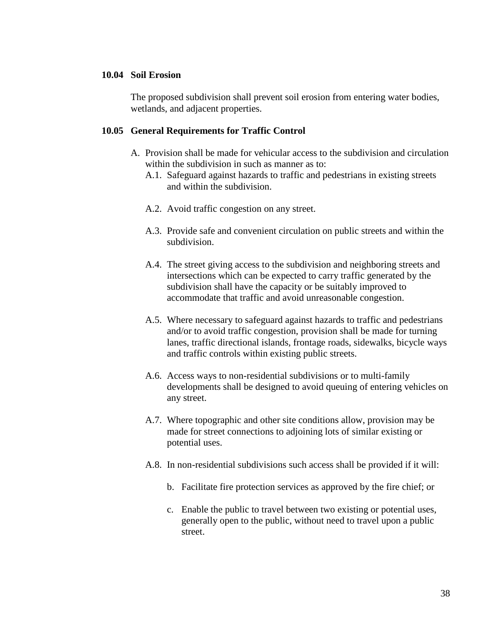#### **10.04 Soil Erosion**

The proposed subdivision shall prevent soil erosion from entering water bodies, wetlands, and adjacent properties.

#### **10.05 General Requirements for Traffic Control**

- A. Provision shall be made for vehicular access to the subdivision and circulation within the subdivision in such as manner as to:
	- A.1. Safeguard against hazards to traffic and pedestrians in existing streets and within the subdivision.
	- A.2. Avoid traffic congestion on any street.
	- A.3. Provide safe and convenient circulation on public streets and within the subdivision.
	- A.4. The street giving access to the subdivision and neighboring streets and intersections which can be expected to carry traffic generated by the subdivision shall have the capacity or be suitably improved to accommodate that traffic and avoid unreasonable congestion.
	- A.5. Where necessary to safeguard against hazards to traffic and pedestrians and/or to avoid traffic congestion, provision shall be made for turning lanes, traffic directional islands, frontage roads, sidewalks, bicycle ways and traffic controls within existing public streets.
	- A.6. Access ways to non-residential subdivisions or to multi-family developments shall be designed to avoid queuing of entering vehicles on any street.
	- A.7. Where topographic and other site conditions allow, provision may be made for street connections to adjoining lots of similar existing or potential uses.
	- A.8. In non-residential subdivisions such access shall be provided if it will:
		- b. Facilitate fire protection services as approved by the fire chief; or
		- c. Enable the public to travel between two existing or potential uses, generally open to the public, without need to travel upon a public street.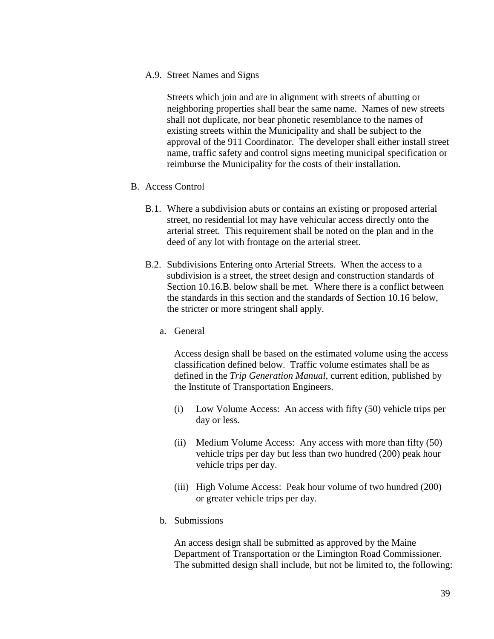A.9. Street Names and Signs

Streets which join and are in alignment with streets of abutting or neighboring properties shall bear the same name. Names of new streets shall not duplicate, nor bear phonetic resemblance to the names of existing streets within the Municipality and shall be subject to the approval of the 911 Coordinator. The developer shall either install street name, traffic safety and control signs meeting municipal specification or reimburse the Municipality for the costs of their installation.

- B. Access Control
	- B.1. Where a subdivision abuts or contains an existing or proposed arterial street, no residential lot may have vehicular access directly onto the arterial street. This requirement shall be noted on the plan and in the deed of any lot with frontage on the arterial street.
	- B.2. Subdivisions Entering onto Arterial Streets. When the access to a subdivision is a street, the street design and construction standards of Section 10.16.B. below shall be met. Where there is a conflict between the standards in this section and the standards of Section 10.16 below, the stricter or more stringent shall apply.
		- a. General

Access design shall be based on the estimated volume using the access classification defined below. Traffic volume estimates shall be as defined in the *Trip Generation Manual*, current edition, published by the Institute of Transportation Engineers.

- (i) Low Volume Access: An access with fifty (50) vehicle trips per day or less.
- (ii) Medium Volume Access: Any access with more than fifty (50) vehicle trips per day but less than two hundred (200) peak hour vehicle trips per day.
- (iii) High Volume Access: Peak hour volume of two hundred (200) or greater vehicle trips per day.
- b. Submissions

An access design shall be submitted as approved by the Maine Department of Transportation or the Limington Road Commissioner. The submitted design shall include, but not be limited to, the following: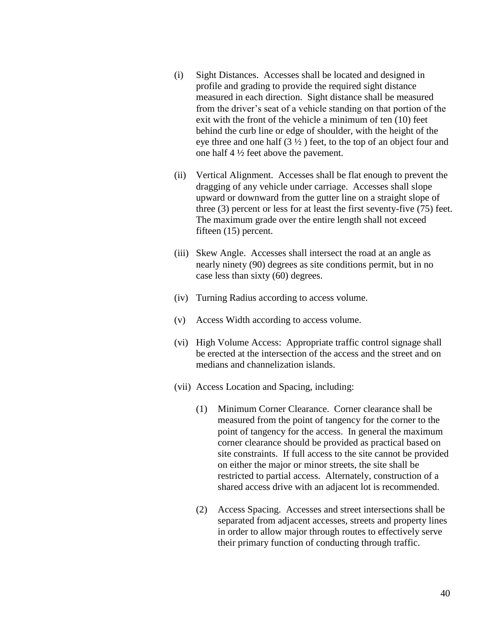- (i) Sight Distances. Accesses shall be located and designed in profile and grading to provide the required sight distance measured in each direction. Sight distance shall be measured from the driver's seat of a vehicle standing on that portion of the exit with the front of the vehicle a minimum of ten (10) feet behind the curb line or edge of shoulder, with the height of the eye three and one half  $(3 \frac{1}{2})$  feet, to the top of an object four and one half 4 ½ feet above the pavement.
- (ii) Vertical Alignment. Accesses shall be flat enough to prevent the dragging of any vehicle under carriage. Accesses shall slope upward or downward from the gutter line on a straight slope of three (3) percent or less for at least the first seventy-five (75) feet. The maximum grade over the entire length shall not exceed fifteen (15) percent.
- (iii) Skew Angle. Accesses shall intersect the road at an angle as nearly ninety (90) degrees as site conditions permit, but in no case less than sixty (60) degrees.
- (iv) Turning Radius according to access volume.
- (v) Access Width according to access volume.
- (vi) High Volume Access: Appropriate traffic control signage shall be erected at the intersection of the access and the street and on medians and channelization islands.
- (vii) Access Location and Spacing, including:
	- (1) Minimum Corner Clearance. Corner clearance shall be measured from the point of tangency for the corner to the point of tangency for the access. In general the maximum corner clearance should be provided as practical based on site constraints. If full access to the site cannot be provided on either the major or minor streets, the site shall be restricted to partial access. Alternately, construction of a shared access drive with an adjacent lot is recommended.
	- (2) Access Spacing. Accesses and street intersections shall be separated from adjacent accesses, streets and property lines in order to allow major through routes to effectively serve their primary function of conducting through traffic.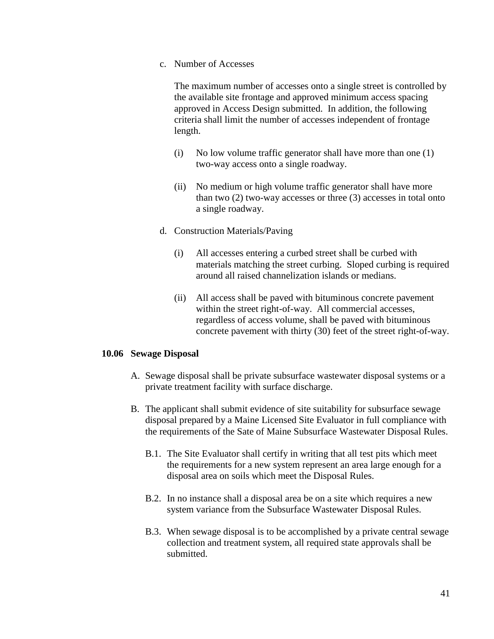c. Number of Accesses

The maximum number of accesses onto a single street is controlled by the available site frontage and approved minimum access spacing approved in Access Design submitted. In addition, the following criteria shall limit the number of accesses independent of frontage length.

- (i) No low volume traffic generator shall have more than one (1) two-way access onto a single roadway.
- (ii) No medium or high volume traffic generator shall have more than two (2) two-way accesses or three (3) accesses in total onto a single roadway.
- d. Construction Materials/Paving
	- (i) All accesses entering a curbed street shall be curbed with materials matching the street curbing. Sloped curbing is required around all raised channelization islands or medians.
	- (ii) All access shall be paved with bituminous concrete pavement within the street right-of-way. All commercial accesses, regardless of access volume, shall be paved with bituminous concrete pavement with thirty (30) feet of the street right-of-way.

### **10.06 Sewage Disposal**

- A. Sewage disposal shall be private subsurface wastewater disposal systems or a private treatment facility with surface discharge.
- B. The applicant shall submit evidence of site suitability for subsurface sewage disposal prepared by a Maine Licensed Site Evaluator in full compliance with the requirements of the Sate of Maine Subsurface Wastewater Disposal Rules.
	- B.1. The Site Evaluator shall certify in writing that all test pits which meet the requirements for a new system represent an area large enough for a disposal area on soils which meet the Disposal Rules.
	- B.2. In no instance shall a disposal area be on a site which requires a new system variance from the Subsurface Wastewater Disposal Rules.
	- B.3. When sewage disposal is to be accomplished by a private central sewage collection and treatment system, all required state approvals shall be submitted.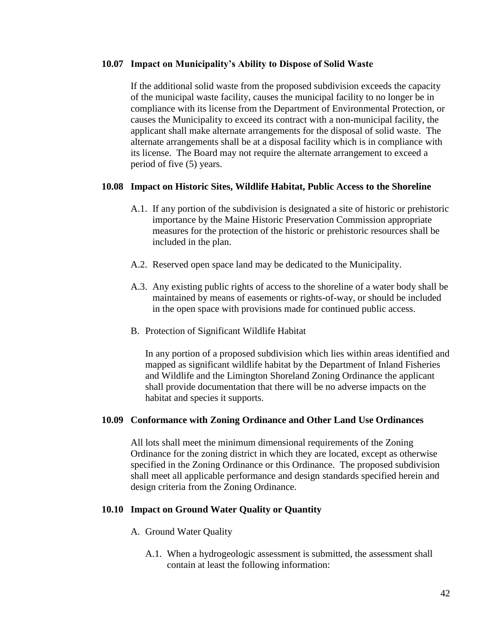#### **10.07 Impact on Municipality's Ability to Dispose of Solid Waste**

If the additional solid waste from the proposed subdivision exceeds the capacity of the municipal waste facility, causes the municipal facility to no longer be in compliance with its license from the Department of Environmental Protection, or causes the Municipality to exceed its contract with a non-municipal facility, the applicant shall make alternate arrangements for the disposal of solid waste. The alternate arrangements shall be at a disposal facility which is in compliance with its license. The Board may not require the alternate arrangement to exceed a period of five (5) years.

### **10.08 Impact on Historic Sites, Wildlife Habitat, Public Access to the Shoreline**

- A.1. If any portion of the subdivision is designated a site of historic or prehistoric importance by the Maine Historic Preservation Commission appropriate measures for the protection of the historic or prehistoric resources shall be included in the plan.
- A.2. Reserved open space land may be dedicated to the Municipality.
- A.3. Any existing public rights of access to the shoreline of a water body shall be maintained by means of easements or rights-of-way, or should be included in the open space with provisions made for continued public access.
- B. Protection of Significant Wildlife Habitat

In any portion of a proposed subdivision which lies within areas identified and mapped as significant wildlife habitat by the Department of Inland Fisheries and Wildlife and the Limington Shoreland Zoning Ordinance the applicant shall provide documentation that there will be no adverse impacts on the habitat and species it supports.

#### **10.09 Conformance with Zoning Ordinance and Other Land Use Ordinances**

All lots shall meet the minimum dimensional requirements of the Zoning Ordinance for the zoning district in which they are located, except as otherwise specified in the Zoning Ordinance or this Ordinance. The proposed subdivision shall meet all applicable performance and design standards specified herein and design criteria from the Zoning Ordinance.

#### **10.10 Impact on Ground Water Quality or Quantity**

- A. Ground Water Quality
	- A.1. When a hydrogeologic assessment is submitted, the assessment shall contain at least the following information: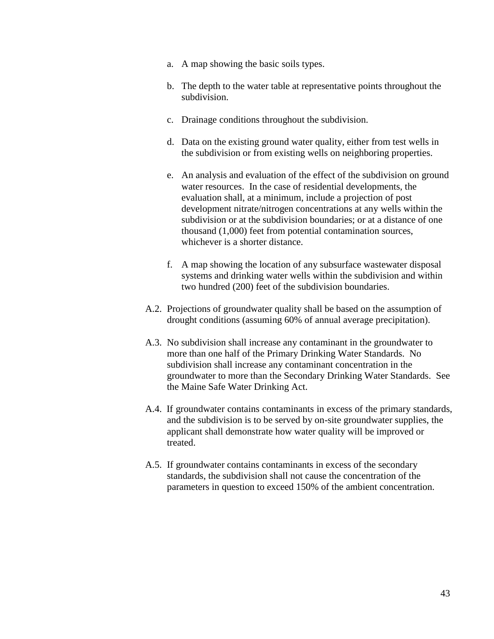- a. A map showing the basic soils types.
- b. The depth to the water table at representative points throughout the subdivision.
- c. Drainage conditions throughout the subdivision.
- d. Data on the existing ground water quality, either from test wells in the subdivision or from existing wells on neighboring properties.
- e. An analysis and evaluation of the effect of the subdivision on ground water resources. In the case of residential developments, the evaluation shall, at a minimum, include a projection of post development nitrate/nitrogen concentrations at any wells within the subdivision or at the subdivision boundaries; or at a distance of one thousand (1,000) feet from potential contamination sources, whichever is a shorter distance.
- f. A map showing the location of any subsurface wastewater disposal systems and drinking water wells within the subdivision and within two hundred (200) feet of the subdivision boundaries.
- A.2. Projections of groundwater quality shall be based on the assumption of drought conditions (assuming 60% of annual average precipitation).
- A.3. No subdivision shall increase any contaminant in the groundwater to more than one half of the Primary Drinking Water Standards. No subdivision shall increase any contaminant concentration in the groundwater to more than the Secondary Drinking Water Standards. See the Maine Safe Water Drinking Act.
- A.4. If groundwater contains contaminants in excess of the primary standards, and the subdivision is to be served by on-site groundwater supplies, the applicant shall demonstrate how water quality will be improved or treated.
- A.5. If groundwater contains contaminants in excess of the secondary standards, the subdivision shall not cause the concentration of the parameters in question to exceed 150% of the ambient concentration.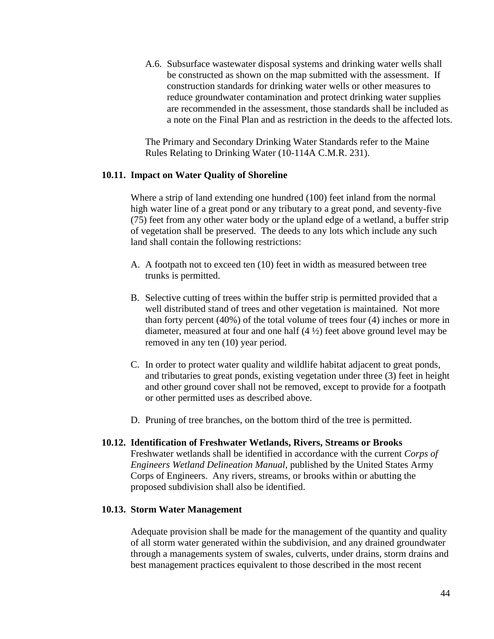A.6. Subsurface wastewater disposal systems and drinking water wells shall be constructed as shown on the map submitted with the assessment. If construction standards for drinking water wells or other measures to reduce groundwater contamination and protect drinking water supplies are recommended in the assessment, those standards shall be included as a note on the Final Plan and as restriction in the deeds to the affected lots.

The Primary and Secondary Drinking Water Standards refer to the Maine Rules Relating to Drinking Water (10-114A C.M.R. 231).

#### **10.11. Impact on Water Quality of Shoreline**

Where a strip of land extending one hundred (100) feet inland from the normal high water line of a great pond or any tributary to a great pond, and seventy-five (75) feet from any other water body or the upland edge of a wetland, a buffer strip of vegetation shall be preserved. The deeds to any lots which include any such land shall contain the following restrictions:

- A. A footpath not to exceed ten (10) feet in width as measured between tree trunks is permitted.
- B. Selective cutting of trees within the buffer strip is permitted provided that a well distributed stand of trees and other vegetation is maintained. Not more than forty percent (40%) of the total volume of trees four (4) inches or more in diameter, measured at four and one half (4 ½) feet above ground level may be removed in any ten (10) year period.
- C. In order to protect water quality and wildlife habitat adjacent to great ponds, and tributaries to great ponds, existing vegetation under three (3) feet in height and other ground cover shall not be removed, except to provide for a footpath or other permitted uses as described above.
- D. Pruning of tree branches, on the bottom third of the tree is permitted.
- **10.12. Identification of Freshwater Wetlands, Rivers, Streams or Brooks** Freshwater wetlands shall be identified in accordance with the current *Corps of Engineers Wetland Delineation Manual*, published by the United States Army Corps of Engineers. Any rivers, streams, or brooks within or abutting the proposed subdivision shall also be identified.

#### **10.13. Storm Water Management**

Adequate provision shall be made for the management of the quantity and quality of all storm water generated within the subdivision, and any drained groundwater through a managements system of swales, culverts, under drains, storm drains and best management practices equivalent to those described in the most recent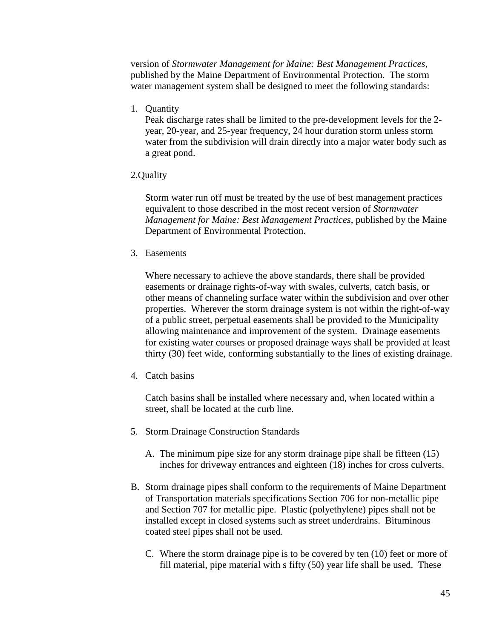version of *Stormwater Management for Maine: Best Management Practices*, published by the Maine Department of Environmental Protection. The storm water management system shall be designed to meet the following standards:

1. Quantity

Peak discharge rates shall be limited to the pre-development levels for the 2 year, 20-year, and 25-year frequency, 24 hour duration storm unless storm water from the subdivision will drain directly into a major water body such as a great pond.

2.Quality

Storm water run off must be treated by the use of best management practices equivalent to those described in the most recent version of *Stormwater Management for Maine: Best Management Practices*, published by the Maine Department of Environmental Protection.

3. Easements

Where necessary to achieve the above standards, there shall be provided easements or drainage rights-of-way with swales, culverts, catch basis, or other means of channeling surface water within the subdivision and over other properties. Wherever the storm drainage system is not within the right-of-way of a public street, perpetual easements shall be provided to the Municipality allowing maintenance and improvement of the system. Drainage easements for existing water courses or proposed drainage ways shall be provided at least thirty (30) feet wide, conforming substantially to the lines of existing drainage.

4. Catch basins

Catch basins shall be installed where necessary and, when located within a street, shall be located at the curb line.

- 5. Storm Drainage Construction Standards
	- A. The minimum pipe size for any storm drainage pipe shall be fifteen (15) inches for driveway entrances and eighteen (18) inches for cross culverts.
- B. Storm drainage pipes shall conform to the requirements of Maine Department of Transportation materials specifications Section 706 for non-metallic pipe and Section 707 for metallic pipe. Plastic (polyethylene) pipes shall not be installed except in closed systems such as street underdrains. Bituminous coated steel pipes shall not be used.
	- C. Where the storm drainage pipe is to be covered by ten (10) feet or more of fill material, pipe material with s fifty (50) year life shall be used. These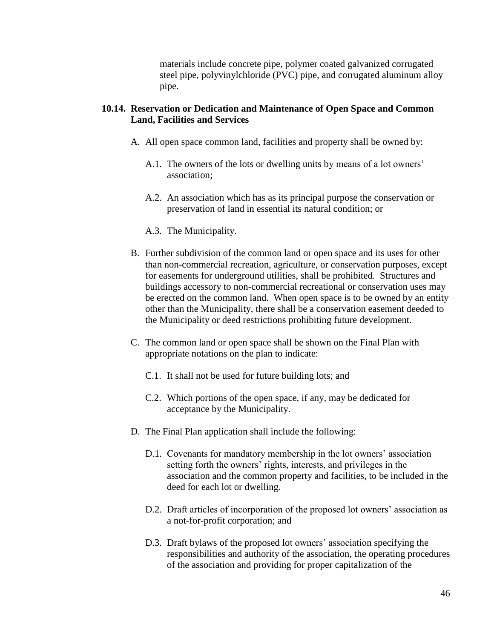materials include concrete pipe, polymer coated galvanized corrugated steel pipe, polyvinylchloride (PVC) pipe, and corrugated aluminum alloy pipe.

#### **10.14. Reservation or Dedication and Maintenance of Open Space and Common Land, Facilities and Services**

- A. All open space common land, facilities and property shall be owned by:
	- A.1. The owners of the lots or dwelling units by means of a lot owners' association;
	- A.2. An association which has as its principal purpose the conservation or preservation of land in essential its natural condition; or
	- A.3. The Municipality.
- B. Further subdivision of the common land or open space and its uses for other than non-commercial recreation, agriculture, or conservation purposes, except for easements for underground utilities, shall be prohibited. Structures and buildings accessory to non-commercial recreational or conservation uses may be erected on the common land. When open space is to be owned by an entity other than the Municipality, there shall be a conservation easement deeded to the Municipality or deed restrictions prohibiting future development.
- C. The common land or open space shall be shown on the Final Plan with appropriate notations on the plan to indicate:
	- C.1. It shall not be used for future building lots; and
	- C.2. Which portions of the open space, if any, may be dedicated for acceptance by the Municipality.
- D. The Final Plan application shall include the following:
	- D.1. Covenants for mandatory membership in the lot owners' association setting forth the owners' rights, interests, and privileges in the association and the common property and facilities, to be included in the deed for each lot or dwelling.
	- D.2. Draft articles of incorporation of the proposed lot owners' association as a not-for-profit corporation; and
	- D.3. Draft bylaws of the proposed lot owners' association specifying the responsibilities and authority of the association, the operating procedures of the association and providing for proper capitalization of the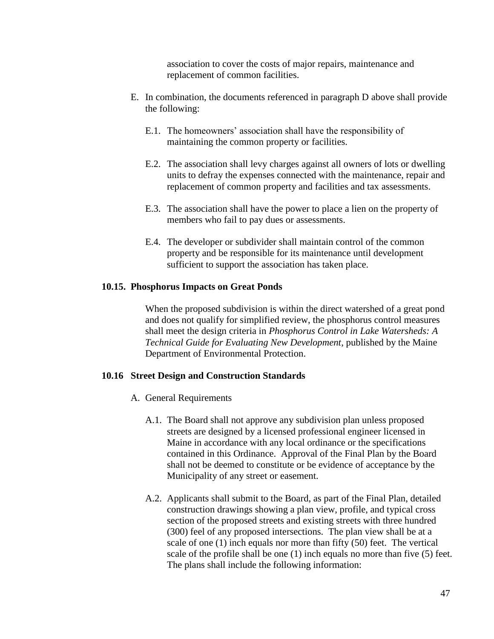association to cover the costs of major repairs, maintenance and replacement of common facilities.

- E. In combination, the documents referenced in paragraph D above shall provide the following:
	- E.1. The homeowners' association shall have the responsibility of maintaining the common property or facilities.
	- E.2. The association shall levy charges against all owners of lots or dwelling units to defray the expenses connected with the maintenance, repair and replacement of common property and facilities and tax assessments.
	- E.3. The association shall have the power to place a lien on the property of members who fail to pay dues or assessments.
	- E.4. The developer or subdivider shall maintain control of the common property and be responsible for its maintenance until development sufficient to support the association has taken place.

#### **10.15. Phosphorus Impacts on Great Ponds**

When the proposed subdivision is within the direct watershed of a great pond and does not qualify for simplified review, the phosphorus control measures shall meet the design criteria in *Phosphorus Control in Lake Watersheds: A Technical Guide for Evaluating New Development*, published by the Maine Department of Environmental Protection.

#### **10.16 Street Design and Construction Standards**

- A. General Requirements
	- A.1. The Board shall not approve any subdivision plan unless proposed streets are designed by a licensed professional engineer licensed in Maine in accordance with any local ordinance or the specifications contained in this Ordinance. Approval of the Final Plan by the Board shall not be deemed to constitute or be evidence of acceptance by the Municipality of any street or easement.
	- A.2. Applicants shall submit to the Board, as part of the Final Plan, detailed construction drawings showing a plan view, profile, and typical cross section of the proposed streets and existing streets with three hundred (300) feel of any proposed intersections. The plan view shall be at a scale of one (1) inch equals nor more than fifty (50) feet. The vertical scale of the profile shall be one (1) inch equals no more than five (5) feet. The plans shall include the following information: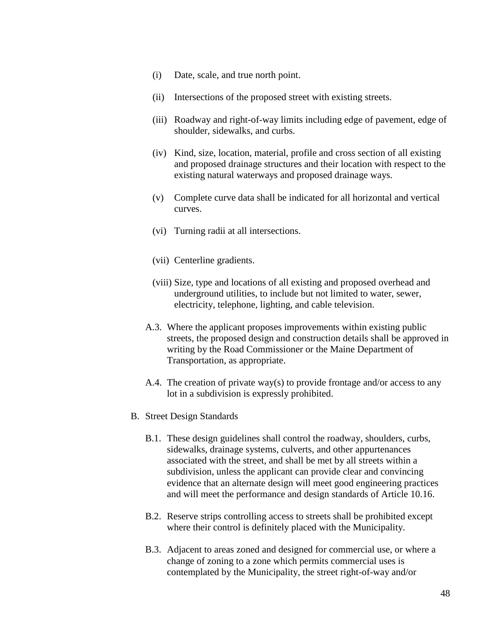- (i) Date, scale, and true north point.
- (ii) Intersections of the proposed street with existing streets.
- (iii) Roadway and right-of-way limits including edge of pavement, edge of shoulder, sidewalks, and curbs.
- (iv) Kind, size, location, material, profile and cross section of all existing and proposed drainage structures and their location with respect to the existing natural waterways and proposed drainage ways.
- (v) Complete curve data shall be indicated for all horizontal and vertical curves.
- (vi) Turning radii at all intersections.
- (vii) Centerline gradients.
- (viii) Size, type and locations of all existing and proposed overhead and underground utilities, to include but not limited to water, sewer, electricity, telephone, lighting, and cable television.
- A.3. Where the applicant proposes improvements within existing public streets, the proposed design and construction details shall be approved in writing by the Road Commissioner or the Maine Department of Transportation, as appropriate.
- A.4. The creation of private way(s) to provide frontage and/or access to any lot in a subdivision is expressly prohibited.
- B. Street Design Standards
	- B.1. These design guidelines shall control the roadway, shoulders, curbs, sidewalks, drainage systems, culverts, and other appurtenances associated with the street, and shall be met by all streets within a subdivision, unless the applicant can provide clear and convincing evidence that an alternate design will meet good engineering practices and will meet the performance and design standards of Article 10.16.
	- B.2. Reserve strips controlling access to streets shall be prohibited except where their control is definitely placed with the Municipality.
	- B.3. Adjacent to areas zoned and designed for commercial use, or where a change of zoning to a zone which permits commercial uses is contemplated by the Municipality, the street right-of-way and/or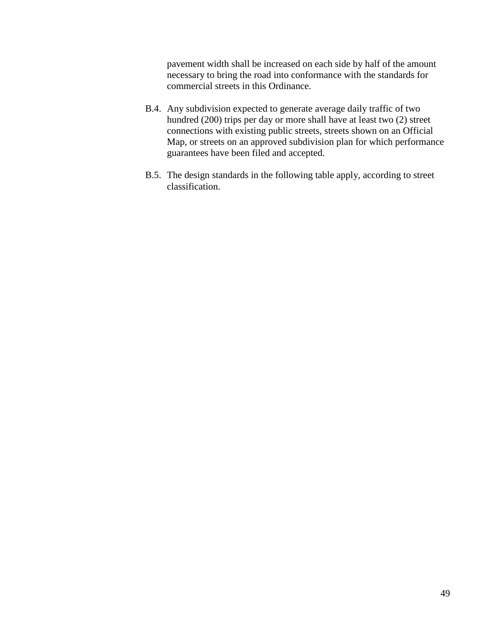pavement width shall be increased on each side by half of the amount necessary to bring the road into conformance with the standards for commercial streets in this Ordinance.

- B.4. Any subdivision expected to generate average daily traffic of two hundred (200) trips per day or more shall have at least two (2) street connections with existing public streets, streets shown on an Official Map, or streets on an approved subdivision plan for which performance guarantees have been filed and accepted.
- B.5. The design standards in the following table apply, according to street classification.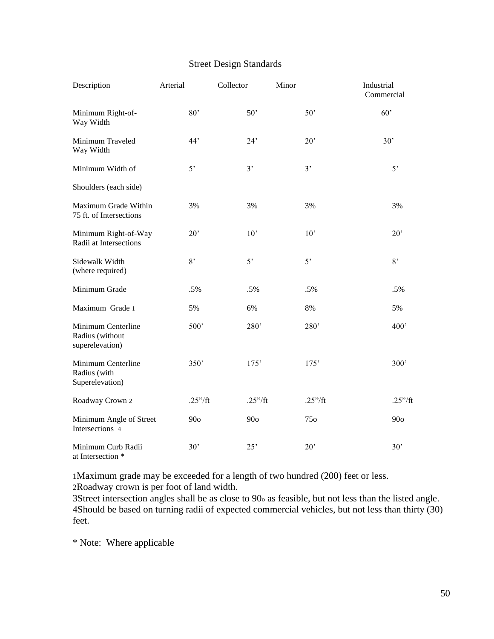## Street Design Standards

| Description                                              | Arterial          | Collector         | Minor             | Industrial<br>Commercial |
|----------------------------------------------------------|-------------------|-------------------|-------------------|--------------------------|
| Minimum Right-of-<br>Way Width                           | 80'               | 50'               | 50'               | 60'                      |
| Minimum Traveled<br>Way Width                            | 44'               | 24'               | 20'               | 30'                      |
| Minimum Width of                                         | 5'                | 3'                | 3'                | 5'                       |
| Shoulders (each side)                                    |                   |                   |                   |                          |
| Maximum Grade Within<br>75 ft. of Intersections          | 3%                | 3%                | 3%                | 3%                       |
| Minimum Right-of-Way<br>Radii at Intersections           | $20^{\circ}$      | 10'               | 10'               | 20'                      |
| Sidewalk Width<br>(where required)                       | 8'                | 5 <sup>2</sup>    | 5'                | 8,                       |
| Minimum Grade                                            | .5%               | .5%               | .5%               | .5%                      |
| Maximum Grade 1                                          | 5%                | 6%                | 8%                | 5%                       |
| Minimum Centerline<br>Radius (without<br>superelevation) | 500 <sup>'</sup>  | 280'              | 280'              | 400 <sup>'</sup>         |
| Minimum Centerline<br>Radius (with<br>Superelevation)    | 350'              | 175'              | 175'              | 300 <sup>'</sup>         |
| Roadway Crown 2                                          | $.25''/\text{ft}$ | $.25''/\text{ft}$ | $.25''/\text{ft}$ | .25''/ft                 |
| Minimum Angle of Street<br>Intersections 4               | 90 <sub>o</sub>   | 90 <sub>o</sub>   | 750               | 90 <sub>o</sub>          |
| Minimum Curb Radii<br>at Intersection *                  | 30'               | 25'               | 20'               | 30'                      |

1Maximum grade may be exceeded for a length of two hundred (200) feet or less. 2Roadway crown is per foot of land width.

3Street intersection angles shall be as close to 90<sup>o</sup> as feasible, but not less than the listed angle. 4Should be based on turning radii of expected commercial vehicles, but not less than thirty (30) feet.

\* Note: Where applicable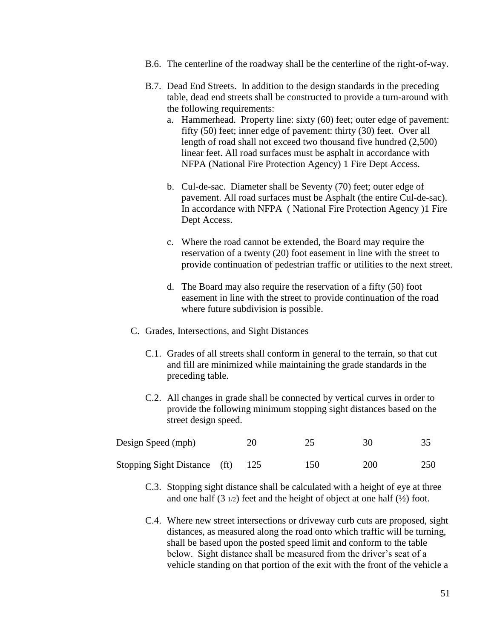- B.6. The centerline of the roadway shall be the centerline of the right-of-way.
- B.7. Dead End Streets. In addition to the design standards in the preceding table, dead end streets shall be constructed to provide a turn-around with the following requirements:
	- a. Hammerhead. Property line: sixty (60) feet; outer edge of pavement: fifty (50) feet; inner edge of pavement: thirty (30) feet. Over all length of road shall not exceed two thousand five hundred (2,500) linear feet. All road surfaces must be asphalt in accordance with NFPA (National Fire Protection Agency) 1 Fire Dept Access.
	- b. Cul-de-sac. Diameter shall be Seventy (70) feet; outer edge of pavement. All road surfaces must be Asphalt (the entire Cul-de-sac). In accordance with NFPA ( National Fire Protection Agency )1 Fire Dept Access.
	- c. Where the road cannot be extended, the Board may require the reservation of a twenty (20) foot easement in line with the street to provide continuation of pedestrian traffic or utilities to the next street.
	- d. The Board may also require the reservation of a fifty (50) foot easement in line with the street to provide continuation of the road where future subdivision is possible.
- C. Grades, Intersections, and Sight Distances
	- C.1. Grades of all streets shall conform in general to the terrain, so that cut and fill are minimized while maintaining the grade standards in the preceding table.
	- C.2. All changes in grade shall be connected by vertical curves in order to provide the following minimum stopping sight distances based on the street design speed.

| Design Speed (mph)           | 20 |     | 30  |     |
|------------------------------|----|-----|-----|-----|
| Stopping Sight Distance (ft) |    | 150 | 200 | 250 |

- C.3. Stopping sight distance shall be calculated with a height of eye at three and one half  $(3 \frac{1}{2})$  feet and the height of object at one half  $(\frac{1}{2})$  foot.
- C.4. Where new street intersections or driveway curb cuts are proposed, sight distances, as measured along the road onto which traffic will be turning, shall be based upon the posted speed limit and conform to the table below. Sight distance shall be measured from the driver's seat of a vehicle standing on that portion of the exit with the front of the vehicle a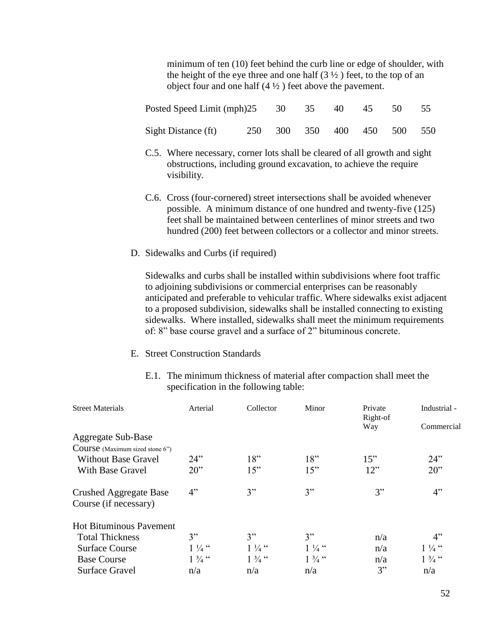minimum of ten (10) feet behind the curb line or edge of shoulder, with the height of the eye three and one half  $(3 \frac{1}{2})$  feet, to the top of an object four and one half  $(4 \frac{1}{2})$  feet above the pavement.

| Posted Speed Limit (mph) 25 30 35 40 45 50 55 |  |                             |  |  |  |
|-----------------------------------------------|--|-----------------------------|--|--|--|
| Sight Distance (ft)                           |  | 250 300 350 400 450 500 550 |  |  |  |

- C.5. Where necessary, corner lots shall be cleared of all growth and sight obstructions, including ground excavation, to achieve the require visibility.
- C.6. Cross (four-cornered) street intersections shall be avoided whenever possible. A minimum distance of one hundred and twenty-five (125) feet shall be maintained between centerlines of minor streets and two hundred (200) feet between collectors or a collector and minor streets.
- D. Sidewalks and Curbs (if required)

Sidewalks and curbs shall be installed within subdivisions where foot traffic to adjoining subdivisions or commercial enterprises can be reasonably anticipated and preferable to vehicular traffic. Where sidewalks exist adjacent to a proposed subdivision, sidewalks shall be installed connecting to existing sidewalks. Where installed, sidewalks shall meet the minimum requirements of: 8" base course gravel and a surface of 2" bituminous concrete.

- E. Street Construction Standards
	- E.1. The minimum thickness of material after compaction shall meet the specification in the following table:

| <b>Street Materials</b>         | Arterial         | Collector         | Minor            | Private<br>Right-of<br>Way | Industrial -<br>Commercial |
|---------------------------------|------------------|-------------------|------------------|----------------------------|----------------------------|
| Aggregate Sub-Base              |                  |                   |                  |                            |                            |
| Course (Maximum sized stone 6") |                  |                   |                  |                            |                            |
| <b>Without Base Gravel</b>      | 24"              | 18"               | 18"              | 15"                        | 24"                        |
| With Base Gravel                | $20$ "           | 15"               | 15"              | 12"                        | $20$ "                     |
| Crushed Aggregate Base          | 4"               | 3"                | 3"               | 3"                         | 4"                         |
| Course (if necessary)           |                  |                   |                  |                            |                            |
| <b>Hot Bituminous Pavement</b>  |                  |                   |                  |                            |                            |
| <b>Total Thickness</b>          | 3"               | 3"                | 3"               | n/a                        | 4"                         |
| <b>Surface Course</b>           | $1\frac{1}{4}$ " | $1\frac{1}{4}$ "  | $1\frac{1}{4}$ " | n/a                        | $1\frac{1}{4}$ "           |
| <b>Base Course</b>              | $1\frac{3}{4}$ " | $1 \frac{3}{4}$ " | $1\frac{3}{4}$ " | n/a                        | $1 \frac{3}{4}$ "          |
| <b>Surface Gravel</b>           | n/a              | n/a               | n/a              | 3"                         | n/a                        |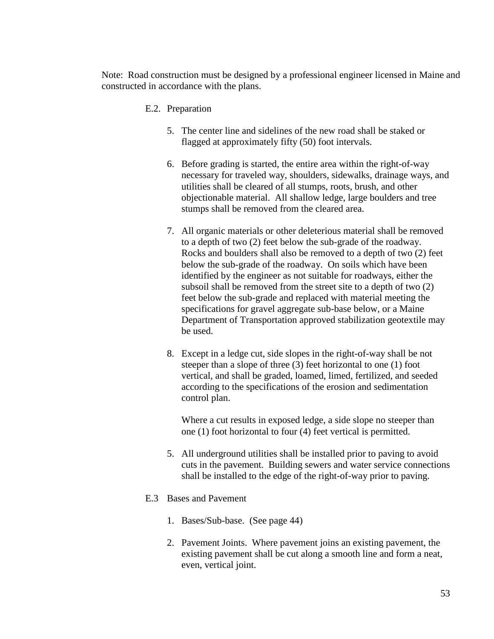Note: Road construction must be designed by a professional engineer licensed in Maine and constructed in accordance with the plans.

#### E.2. Preparation

- 5. The center line and sidelines of the new road shall be staked or flagged at approximately fifty (50) foot intervals.
- 6. Before grading is started, the entire area within the right-of-way necessary for traveled way, shoulders, sidewalks, drainage ways, and utilities shall be cleared of all stumps, roots, brush, and other objectionable material. All shallow ledge, large boulders and tree stumps shall be removed from the cleared area.
- 7. All organic materials or other deleterious material shall be removed to a depth of two (2) feet below the sub-grade of the roadway. Rocks and boulders shall also be removed to a depth of two (2) feet below the sub-grade of the roadway. On soils which have been identified by the engineer as not suitable for roadways, either the subsoil shall be removed from the street site to a depth of two (2) feet below the sub-grade and replaced with material meeting the specifications for gravel aggregate sub-base below, or a Maine Department of Transportation approved stabilization geotextile may be used.
- 8. Except in a ledge cut, side slopes in the right-of-way shall be not steeper than a slope of three (3) feet horizontal to one (1) foot vertical, and shall be graded, loamed, limed, fertilized, and seeded according to the specifications of the erosion and sedimentation control plan.

Where a cut results in exposed ledge, a side slope no steeper than one (1) foot horizontal to four (4) feet vertical is permitted.

5. All underground utilities shall be installed prior to paving to avoid cuts in the pavement. Building sewers and water service connections shall be installed to the edge of the right-of-way prior to paving.

#### E.3 Bases and Pavement

- 1. Bases/Sub-base. (See page 44)
- 2. Pavement Joints. Where pavement joins an existing pavement, the existing pavement shall be cut along a smooth line and form a neat, even, vertical joint.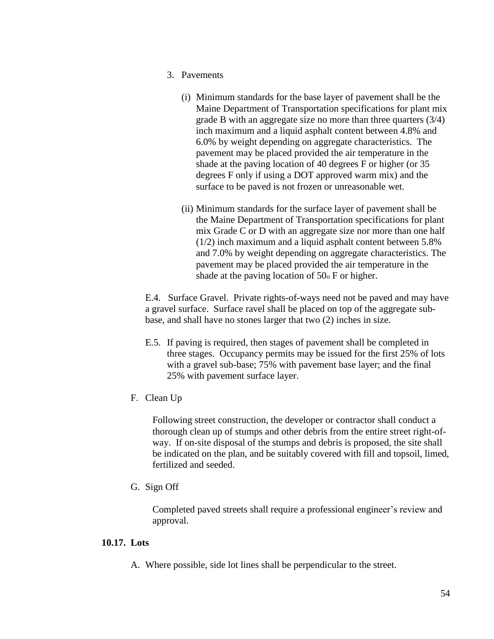- 3. Pavements
	- (i) Minimum standards for the base layer of pavement shall be the Maine Department of Transportation specifications for plant mix grade B with an aggregate size no more than three quarters (3/4) inch maximum and a liquid asphalt content between 4.8% and 6.0% by weight depending on aggregate characteristics. The pavement may be placed provided the air temperature in the shade at the paving location of 40 degrees F or higher (or 35 degrees F only if using a DOT approved warm mix) and the surface to be paved is not frozen or unreasonable wet.
	- (ii) Minimum standards for the surface layer of pavement shall be the Maine Department of Transportation specifications for plant mix Grade C or D with an aggregate size nor more than one half (1/2) inch maximum and a liquid asphalt content between 5.8% and 7.0% by weight depending on aggregate characteristics. The pavement may be placed provided the air temperature in the shade at the paving location of 50<sup>o</sup> F or higher.

E.4. Surface Gravel. Private rights-of-ways need not be paved and may have a gravel surface. Surface ravel shall be placed on top of the aggregate subbase, and shall have no stones larger that two (2) inches in size.

- E.5. If paving is required, then stages of pavement shall be completed in three stages. Occupancy permits may be issued for the first 25% of lots with a gravel sub-base; 75% with pavement base layer; and the final 25% with pavement surface layer.
- F. Clean Up

Following street construction, the developer or contractor shall conduct a thorough clean up of stumps and other debris from the entire street right-ofway. If on-site disposal of the stumps and debris is proposed, the site shall be indicated on the plan, and be suitably covered with fill and topsoil, limed, fertilized and seeded.

G. Sign Off

Completed paved streets shall require a professional engineer's review and approval.

### **10.17. Lots**

A. Where possible, side lot lines shall be perpendicular to the street.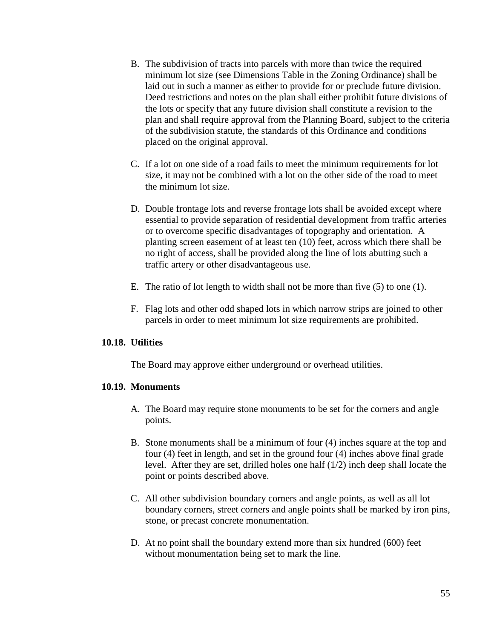- B. The subdivision of tracts into parcels with more than twice the required minimum lot size (see Dimensions Table in the Zoning Ordinance) shall be laid out in such a manner as either to provide for or preclude future division. Deed restrictions and notes on the plan shall either prohibit future divisions of the lots or specify that any future division shall constitute a revision to the plan and shall require approval from the Planning Board, subject to the criteria of the subdivision statute, the standards of this Ordinance and conditions placed on the original approval.
- C. If a lot on one side of a road fails to meet the minimum requirements for lot size, it may not be combined with a lot on the other side of the road to meet the minimum lot size.
- D. Double frontage lots and reverse frontage lots shall be avoided except where essential to provide separation of residential development from traffic arteries or to overcome specific disadvantages of topography and orientation. A planting screen easement of at least ten (10) feet, across which there shall be no right of access, shall be provided along the line of lots abutting such a traffic artery or other disadvantageous use.
- E. The ratio of lot length to width shall not be more than five (5) to one (1).
- F. Flag lots and other odd shaped lots in which narrow strips are joined to other parcels in order to meet minimum lot size requirements are prohibited.

#### **10.18. Utilities**

The Board may approve either underground or overhead utilities.

#### **10.19. Monuments**

- A. The Board may require stone monuments to be set for the corners and angle points.
- B. Stone monuments shall be a minimum of four (4) inches square at the top and four (4) feet in length, and set in the ground four (4) inches above final grade level. After they are set, drilled holes one half (1/2) inch deep shall locate the point or points described above.
- C. All other subdivision boundary corners and angle points, as well as all lot boundary corners, street corners and angle points shall be marked by iron pins, stone, or precast concrete monumentation.
- D. At no point shall the boundary extend more than six hundred (600) feet without monumentation being set to mark the line.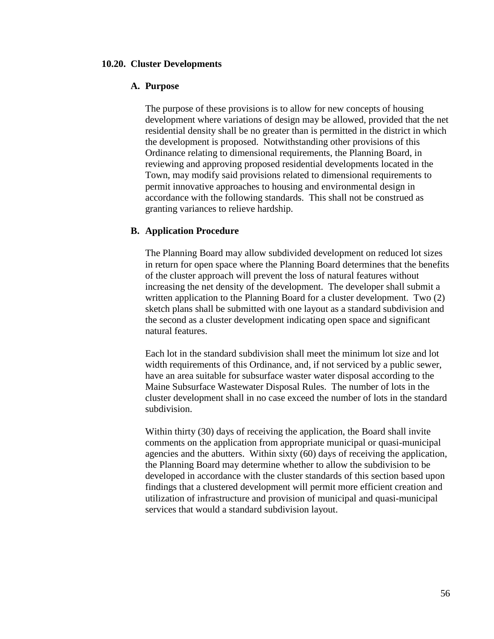#### **10.20. Cluster Developments**

#### **A. Purpose**

The purpose of these provisions is to allow for new concepts of housing development where variations of design may be allowed, provided that the net residential density shall be no greater than is permitted in the district in which the development is proposed. Notwithstanding other provisions of this Ordinance relating to dimensional requirements, the Planning Board, in reviewing and approving proposed residential developments located in the Town, may modify said provisions related to dimensional requirements to permit innovative approaches to housing and environmental design in accordance with the following standards. This shall not be construed as granting variances to relieve hardship.

#### **B. Application Procedure**

The Planning Board may allow subdivided development on reduced lot sizes in return for open space where the Planning Board determines that the benefits of the cluster approach will prevent the loss of natural features without increasing the net density of the development. The developer shall submit a written application to the Planning Board for a cluster development. Two (2) sketch plans shall be submitted with one layout as a standard subdivision and the second as a cluster development indicating open space and significant natural features.

Each lot in the standard subdivision shall meet the minimum lot size and lot width requirements of this Ordinance, and, if not serviced by a public sewer, have an area suitable for subsurface waster water disposal according to the Maine Subsurface Wastewater Disposal Rules. The number of lots in the cluster development shall in no case exceed the number of lots in the standard subdivision.

Within thirty (30) days of receiving the application, the Board shall invite comments on the application from appropriate municipal or quasi-municipal agencies and the abutters. Within sixty (60) days of receiving the application, the Planning Board may determine whether to allow the subdivision to be developed in accordance with the cluster standards of this section based upon findings that a clustered development will permit more efficient creation and utilization of infrastructure and provision of municipal and quasi-municipal services that would a standard subdivision layout.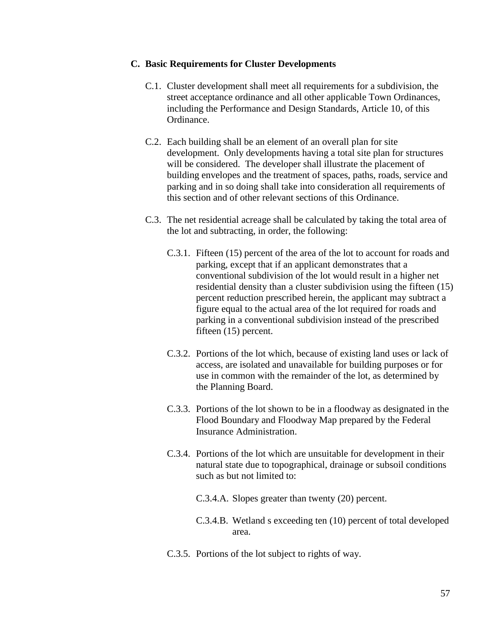#### **C. Basic Requirements for Cluster Developments**

- C.1. Cluster development shall meet all requirements for a subdivision, the street acceptance ordinance and all other applicable Town Ordinances, including the Performance and Design Standards, Article 10, of this Ordinance.
- C.2. Each building shall be an element of an overall plan for site development. Only developments having a total site plan for structures will be considered. The developer shall illustrate the placement of building envelopes and the treatment of spaces, paths, roads, service and parking and in so doing shall take into consideration all requirements of this section and of other relevant sections of this Ordinance.
- C.3. The net residential acreage shall be calculated by taking the total area of the lot and subtracting, in order, the following:
	- C.3.1. Fifteen (15) percent of the area of the lot to account for roads and parking, except that if an applicant demonstrates that a conventional subdivision of the lot would result in a higher net residential density than a cluster subdivision using the fifteen (15) percent reduction prescribed herein, the applicant may subtract a figure equal to the actual area of the lot required for roads and parking in a conventional subdivision instead of the prescribed fifteen (15) percent.
	- C.3.2. Portions of the lot which, because of existing land uses or lack of access, are isolated and unavailable for building purposes or for use in common with the remainder of the lot, as determined by the Planning Board.
	- C.3.3. Portions of the lot shown to be in a floodway as designated in the Flood Boundary and Floodway Map prepared by the Federal Insurance Administration.
	- C.3.4. Portions of the lot which are unsuitable for development in their natural state due to topographical, drainage or subsoil conditions such as but not limited to:
		- C.3.4.A. Slopes greater than twenty (20) percent.
		- C.3.4.B. Wetland s exceeding ten (10) percent of total developed area.
	- C.3.5. Portions of the lot subject to rights of way.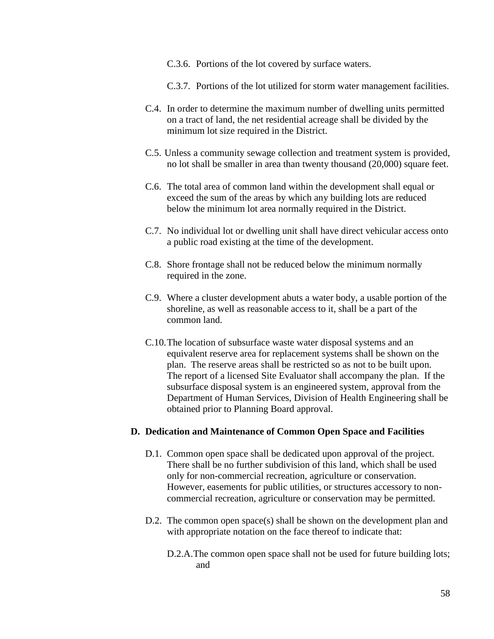- C.3.6. Portions of the lot covered by surface waters.
- C.3.7. Portions of the lot utilized for storm water management facilities.
- C.4. In order to determine the maximum number of dwelling units permitted on a tract of land, the net residential acreage shall be divided by the minimum lot size required in the District.
- C.5. Unless a community sewage collection and treatment system is provided, no lot shall be smaller in area than twenty thousand (20,000) square feet.
- C.6. The total area of common land within the development shall equal or exceed the sum of the areas by which any building lots are reduced below the minimum lot area normally required in the District.
- C.7. No individual lot or dwelling unit shall have direct vehicular access onto a public road existing at the time of the development.
- C.8. Shore frontage shall not be reduced below the minimum normally required in the zone.
- C.9. Where a cluster development abuts a water body, a usable portion of the shoreline, as well as reasonable access to it, shall be a part of the common land.
- C.10.The location of subsurface waste water disposal systems and an equivalent reserve area for replacement systems shall be shown on the plan. The reserve areas shall be restricted so as not to be built upon. The report of a licensed Site Evaluator shall accompany the plan. If the subsurface disposal system is an engineered system, approval from the Department of Human Services, Division of Health Engineering shall be obtained prior to Planning Board approval.

#### **D. Dedication and Maintenance of Common Open Space and Facilities**

- D.1. Common open space shall be dedicated upon approval of the project. There shall be no further subdivision of this land, which shall be used only for non-commercial recreation, agriculture or conservation. However, easements for public utilities, or structures accessory to noncommercial recreation, agriculture or conservation may be permitted.
- D.2. The common open space(s) shall be shown on the development plan and with appropriate notation on the face thereof to indicate that:
	- D.2.A.The common open space shall not be used for future building lots; and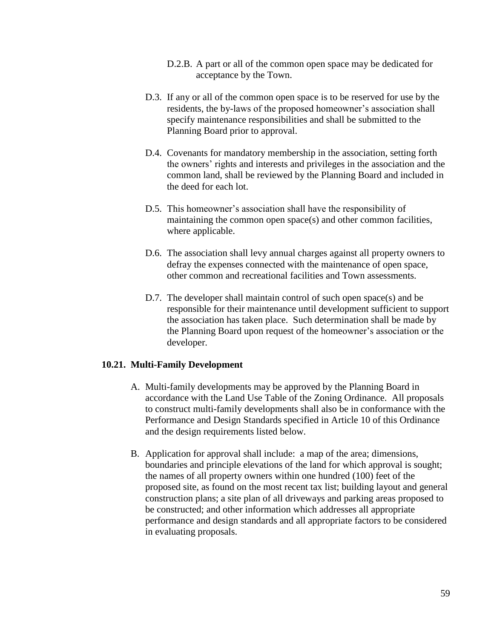- D.2.B. A part or all of the common open space may be dedicated for acceptance by the Town.
- D.3. If any or all of the common open space is to be reserved for use by the residents, the by-laws of the proposed homeowner's association shall specify maintenance responsibilities and shall be submitted to the Planning Board prior to approval.
- D.4. Covenants for mandatory membership in the association, setting forth the owners' rights and interests and privileges in the association and the common land, shall be reviewed by the Planning Board and included in the deed for each lot.
- D.5. This homeowner's association shall have the responsibility of maintaining the common open space(s) and other common facilities, where applicable.
- D.6. The association shall levy annual charges against all property owners to defray the expenses connected with the maintenance of open space, other common and recreational facilities and Town assessments.
- D.7. The developer shall maintain control of such open space(s) and be responsible for their maintenance until development sufficient to support the association has taken place. Such determination shall be made by the Planning Board upon request of the homeowner's association or the developer.

#### **10.21. Multi-Family Development**

- A. Multi-family developments may be approved by the Planning Board in accordance with the Land Use Table of the Zoning Ordinance. All proposals to construct multi-family developments shall also be in conformance with the Performance and Design Standards specified in Article 10 of this Ordinance and the design requirements listed below.
- B. Application for approval shall include: a map of the area; dimensions, boundaries and principle elevations of the land for which approval is sought; the names of all property owners within one hundred (100) feet of the proposed site, as found on the most recent tax list; building layout and general construction plans; a site plan of all driveways and parking areas proposed to be constructed; and other information which addresses all appropriate performance and design standards and all appropriate factors to be considered in evaluating proposals.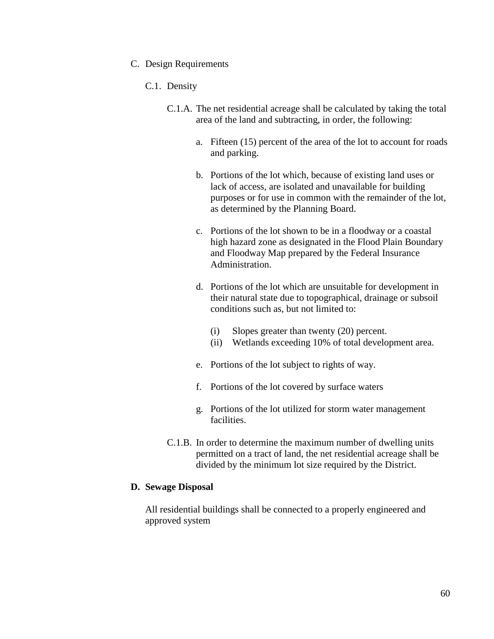#### C. Design Requirements

#### C.1. Density

- C.1.A. The net residential acreage shall be calculated by taking the total area of the land and subtracting, in order, the following:
	- a. Fifteen (15) percent of the area of the lot to account for roads and parking.
	- b. Portions of the lot which, because of existing land uses or lack of access, are isolated and unavailable for building purposes or for use in common with the remainder of the lot, as determined by the Planning Board.
	- c. Portions of the lot shown to be in a floodway or a coastal high hazard zone as designated in the Flood Plain Boundary and Floodway Map prepared by the Federal Insurance Administration.
	- d. Portions of the lot which are unsuitable for development in their natural state due to topographical, drainage or subsoil conditions such as, but not limited to:
		- (i) Slopes greater than twenty (20) percent.
		- (ii) Wetlands exceeding 10% of total development area.
	- e. Portions of the lot subject to rights of way.
	- f. Portions of the lot covered by surface waters
	- g. Portions of the lot utilized for storm water management facilities.
- C.1.B. In order to determine the maximum number of dwelling units permitted on a tract of land, the net residential acreage shall be divided by the minimum lot size required by the District.

### **D. Sewage Disposal**

All residential buildings shall be connected to a properly engineered and approved system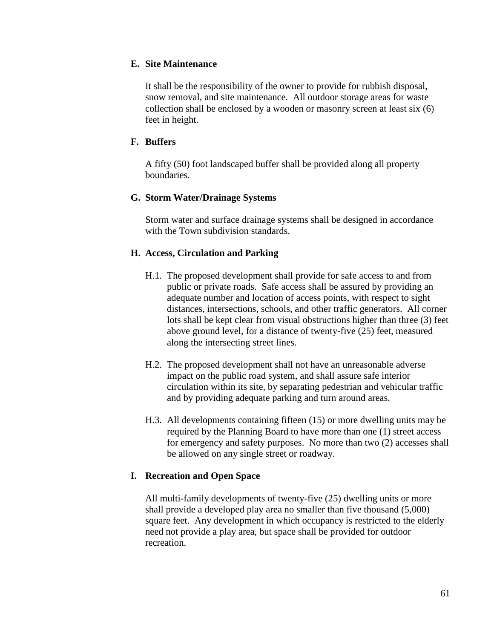## **E. Site Maintenance**

It shall be the responsibility of the owner to provide for rubbish disposal, snow removal, and site maintenance. All outdoor storage areas for waste collection shall be enclosed by a wooden or masonry screen at least six (6) feet in height.

## **F. Buffers**

A fifty (50) foot landscaped buffer shall be provided along all property boundaries.

## **G. Storm Water/Drainage Systems**

Storm water and surface drainage systems shall be designed in accordance with the Town subdivision standards.

## **H. Access, Circulation and Parking**

- H.1. The proposed development shall provide for safe access to and from public or private roads. Safe access shall be assured by providing an adequate number and location of access points, with respect to sight distances, intersections, schools, and other traffic generators. All corner lots shall be kept clear from visual obstructions higher than three (3) feet above ground level, for a distance of twenty-five (25) feet, measured along the intersecting street lines.
- H.2. The proposed development shall not have an unreasonable adverse impact on the public road system, and shall assure safe interior circulation within its site, by separating pedestrian and vehicular traffic and by providing adequate parking and turn around areas.
- H.3. All developments containing fifteen (15) or more dwelling units may be required by the Planning Board to have more than one (1) street access for emergency and safety purposes. No more than two (2) accesses shall be allowed on any single street or roadway.

## **I. Recreation and Open Space**

All multi-family developments of twenty-five (25) dwelling units or more shall provide a developed play area no smaller than five thousand (5,000) square feet. Any development in which occupancy is restricted to the elderly need not provide a play area, but space shall be provided for outdoor recreation.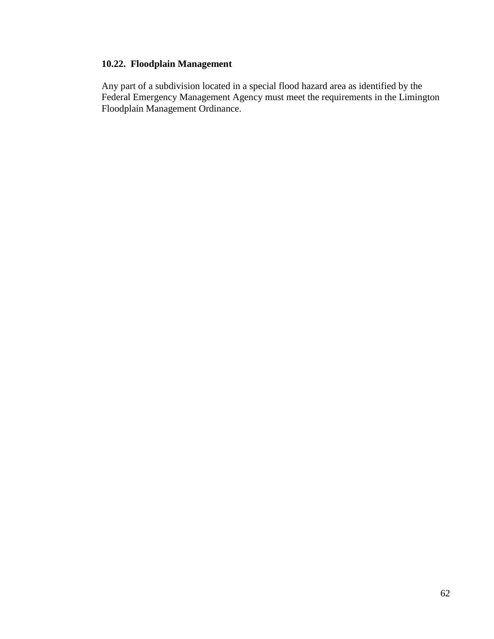## **10.22. Floodplain Management**

Any part of a subdivision located in a special flood hazard area as identified by the Federal Emergency Management Agency must meet the requirements in the Limington Floodplain Management Ordinance.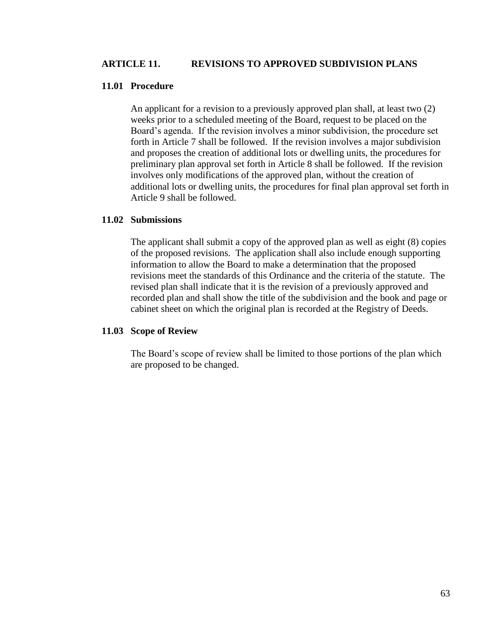### **ARTICLE 11. REVISIONS TO APPROVED SUBDIVISION PLANS**

#### **11.01 Procedure**

An applicant for a revision to a previously approved plan shall, at least two (2) weeks prior to a scheduled meeting of the Board, request to be placed on the Board's agenda. If the revision involves a minor subdivision, the procedure set forth in Article 7 shall be followed. If the revision involves a major subdivision and proposes the creation of additional lots or dwelling units, the procedures for preliminary plan approval set forth in Article 8 shall be followed. If the revision involves only modifications of the approved plan, without the creation of additional lots or dwelling units, the procedures for final plan approval set forth in Article 9 shall be followed.

#### **11.02 Submissions**

The applicant shall submit a copy of the approved plan as well as eight (8) copies of the proposed revisions. The application shall also include enough supporting information to allow the Board to make a determination that the proposed revisions meet the standards of this Ordinance and the criteria of the statute. The revised plan shall indicate that it is the revision of a previously approved and recorded plan and shall show the title of the subdivision and the book and page or cabinet sheet on which the original plan is recorded at the Registry of Deeds.

#### **11.03 Scope of Review**

The Board's scope of review shall be limited to those portions of the plan which are proposed to be changed.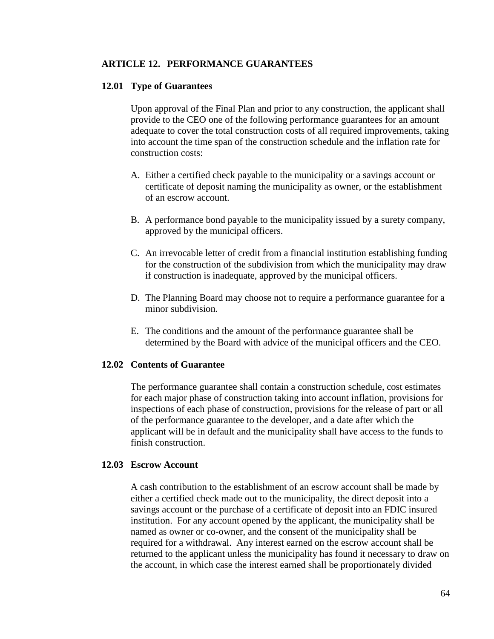#### **ARTICLE 12. PERFORMANCE GUARANTEES**

#### **12.01 Type of Guarantees**

Upon approval of the Final Plan and prior to any construction, the applicant shall provide to the CEO one of the following performance guarantees for an amount adequate to cover the total construction costs of all required improvements, taking into account the time span of the construction schedule and the inflation rate for construction costs:

- A. Either a certified check payable to the municipality or a savings account or certificate of deposit naming the municipality as owner, or the establishment of an escrow account.
- B. A performance bond payable to the municipality issued by a surety company, approved by the municipal officers.
- C. An irrevocable letter of credit from a financial institution establishing funding for the construction of the subdivision from which the municipality may draw if construction is inadequate, approved by the municipal officers.
- D. The Planning Board may choose not to require a performance guarantee for a minor subdivision.
- E. The conditions and the amount of the performance guarantee shall be determined by the Board with advice of the municipal officers and the CEO.

#### **12.02 Contents of Guarantee**

The performance guarantee shall contain a construction schedule, cost estimates for each major phase of construction taking into account inflation, provisions for inspections of each phase of construction, provisions for the release of part or all of the performance guarantee to the developer, and a date after which the applicant will be in default and the municipality shall have access to the funds to finish construction.

#### **12.03 Escrow Account**

A cash contribution to the establishment of an escrow account shall be made by either a certified check made out to the municipality, the direct deposit into a savings account or the purchase of a certificate of deposit into an FDIC insured institution. For any account opened by the applicant, the municipality shall be named as owner or co-owner, and the consent of the municipality shall be required for a withdrawal. Any interest earned on the escrow account shall be returned to the applicant unless the municipality has found it necessary to draw on the account, in which case the interest earned shall be proportionately divided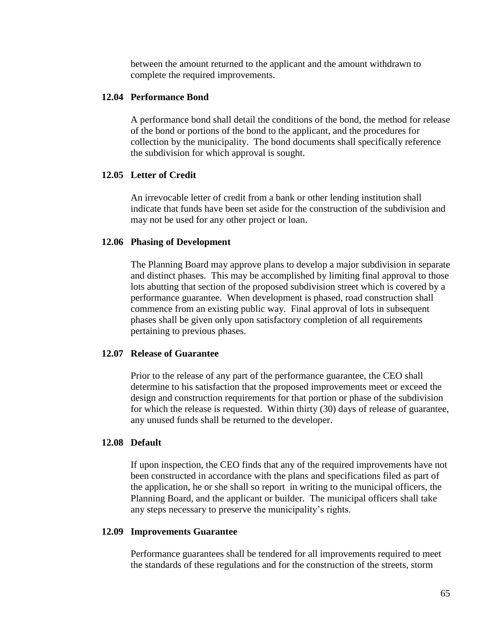between the amount returned to the applicant and the amount withdrawn to complete the required improvements.

#### **12.04 Performance Bond**

A performance bond shall detail the conditions of the bond, the method for release of the bond or portions of the bond to the applicant, and the procedures for collection by the municipality. The bond documents shall specifically reference the subdivision for which approval is sought.

#### **12.05 Letter of Credit**

An irrevocable letter of credit from a bank or other lending institution shall indicate that funds have been set aside for the construction of the subdivision and may not be used for any other project or loan.

#### **12.06 Phasing of Development**

The Planning Board may approve plans to develop a major subdivision in separate and distinct phases. This may be accomplished by limiting final approval to those lots abutting that section of the proposed subdivision street which is covered by a performance guarantee. When development is phased, road construction shall commence from an existing public way. Final approval of lots in subsequent phases shall be given only upon satisfactory completion of all requirements pertaining to previous phases.

#### **12.07 Release of Guarantee**

Prior to the release of any part of the performance guarantee, the CEO shall determine to his satisfaction that the proposed improvements meet or exceed the design and construction requirements for that portion or phase of the subdivision for which the release is requested. Within thirty (30) days of release of guarantee, any unused funds shall be returned to the developer.

#### **12.08 Default**

If upon inspection, the CEO finds that any of the required improvements have not been constructed in accordance with the plans and specifications filed as part of the application, he or she shall so report in writing to the municipal officers, the Planning Board, and the applicant or builder. The municipal officers shall take any steps necessary to preserve the municipality's rights.

#### **12.09 Improvements Guarantee**

Performance guarantees shall be tendered for all improvements required to meet the standards of these regulations and for the construction of the streets, storm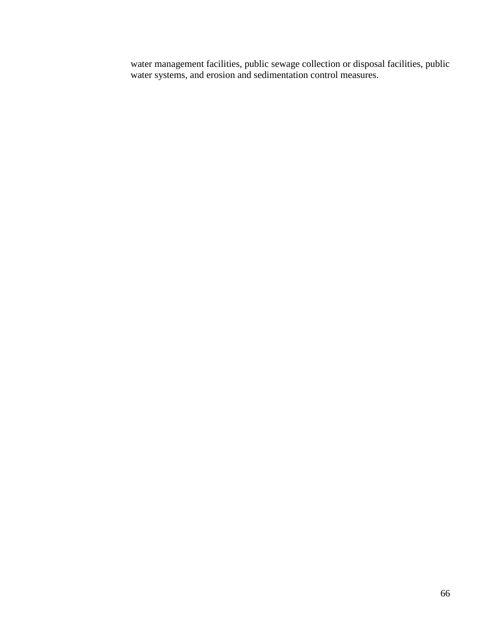water management facilities, public sewage collection or disposal facilities, public water systems, and erosion and sedimentation control measures.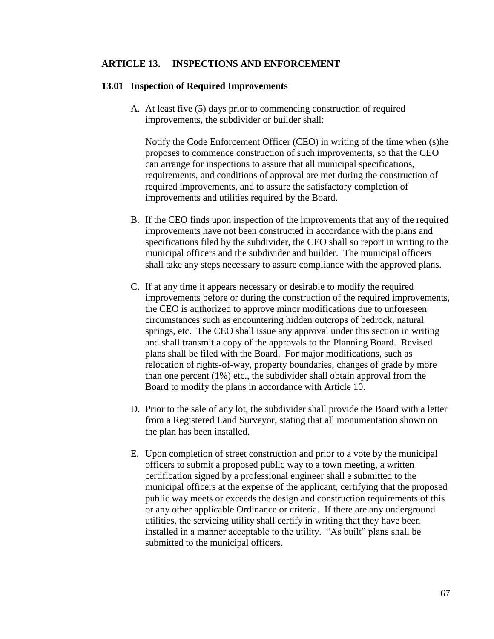#### **ARTICLE 13. INSPECTIONS AND ENFORCEMENT**

#### **13.01 Inspection of Required Improvements**

A. At least five (5) days prior to commencing construction of required improvements, the subdivider or builder shall:

Notify the Code Enforcement Officer (CEO) in writing of the time when (s)he proposes to commence construction of such improvements, so that the CEO can arrange for inspections to assure that all municipal specifications, requirements, and conditions of approval are met during the construction of required improvements, and to assure the satisfactory completion of improvements and utilities required by the Board.

- B. If the CEO finds upon inspection of the improvements that any of the required improvements have not been constructed in accordance with the plans and specifications filed by the subdivider, the CEO shall so report in writing to the municipal officers and the subdivider and builder. The municipal officers shall take any steps necessary to assure compliance with the approved plans.
- C. If at any time it appears necessary or desirable to modify the required improvements before or during the construction of the required improvements, the CEO is authorized to approve minor modifications due to unforeseen circumstances such as encountering hidden outcrops of bedrock, natural springs, etc. The CEO shall issue any approval under this section in writing and shall transmit a copy of the approvals to the Planning Board. Revised plans shall be filed with the Board. For major modifications, such as relocation of rights-of-way, property boundaries, changes of grade by more than one percent (1%) etc., the subdivider shall obtain approval from the Board to modify the plans in accordance with Article 10.
- D. Prior to the sale of any lot, the subdivider shall provide the Board with a letter from a Registered Land Surveyor, stating that all monumentation shown on the plan has been installed.
- E. Upon completion of street construction and prior to a vote by the municipal officers to submit a proposed public way to a town meeting, a written certification signed by a professional engineer shall e submitted to the municipal officers at the expense of the applicant, certifying that the proposed public way meets or exceeds the design and construction requirements of this or any other applicable Ordinance or criteria. If there are any underground utilities, the servicing utility shall certify in writing that they have been installed in a manner acceptable to the utility. "As built" plans shall be submitted to the municipal officers.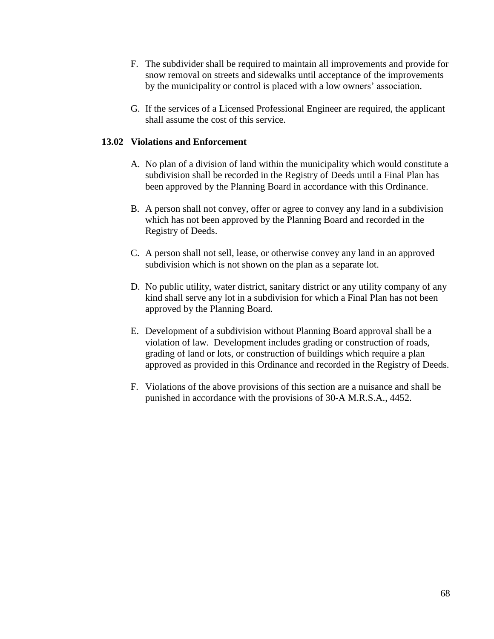- F. The subdivider shall be required to maintain all improvements and provide for snow removal on streets and sidewalks until acceptance of the improvements by the municipality or control is placed with a low owners' association.
- G. If the services of a Licensed Professional Engineer are required, the applicant shall assume the cost of this service.

### **13.02 Violations and Enforcement**

- A. No plan of a division of land within the municipality which would constitute a subdivision shall be recorded in the Registry of Deeds until a Final Plan has been approved by the Planning Board in accordance with this Ordinance.
- B. A person shall not convey, offer or agree to convey any land in a subdivision which has not been approved by the Planning Board and recorded in the Registry of Deeds.
- C. A person shall not sell, lease, or otherwise convey any land in an approved subdivision which is not shown on the plan as a separate lot.
- D. No public utility, water district, sanitary district or any utility company of any kind shall serve any lot in a subdivision for which a Final Plan has not been approved by the Planning Board.
- E. Development of a subdivision without Planning Board approval shall be a violation of law. Development includes grading or construction of roads, grading of land or lots, or construction of buildings which require a plan approved as provided in this Ordinance and recorded in the Registry of Deeds.
- F. Violations of the above provisions of this section are a nuisance and shall be punished in accordance with the provisions of 30-A M.R.S.A., 4452.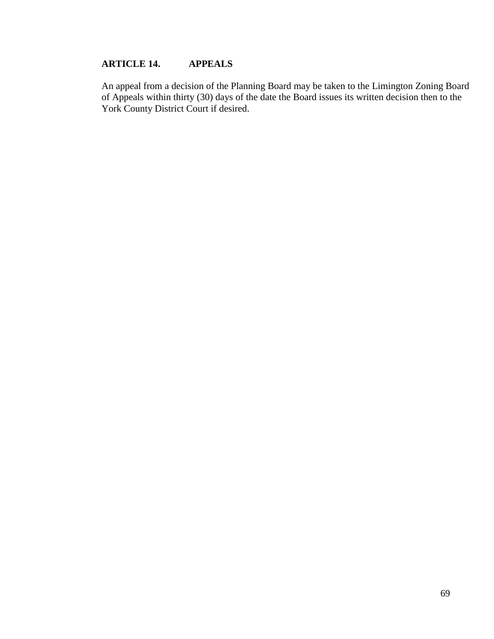# **ARTICLE 14. APPEALS**

An appeal from a decision of the Planning Board may be taken to the Limington Zoning Board of Appeals within thirty (30) days of the date the Board issues its written decision then to the York County District Court if desired.